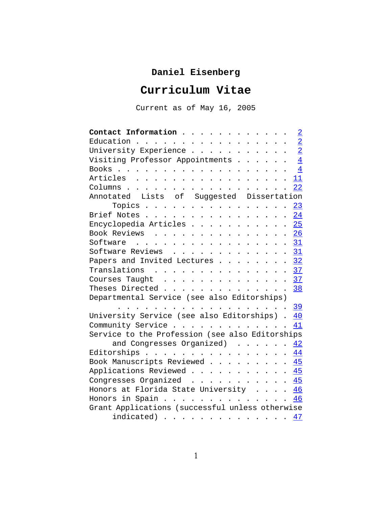# **Daniel Eisenberg**

# **Curriculum Vitae**

Current as of May 16, 2005

| Contact Information                                                                                                                                                                                                                                                                                                | $\overline{2}$ |
|--------------------------------------------------------------------------------------------------------------------------------------------------------------------------------------------------------------------------------------------------------------------------------------------------------------------|----------------|
| Education<br>$\ddot{\phantom{a}}$                                                                                                                                                                                                                                                                                  | $\overline{2}$ |
| University Experience<br>$\sim$<br>$\sim$                                                                                                                                                                                                                                                                          | $\overline{2}$ |
| Visiting Professor Appointments                                                                                                                                                                                                                                                                                    | $\overline{4}$ |
| Books                                                                                                                                                                                                                                                                                                              | $\overline{4}$ |
| Articles                                                                                                                                                                                                                                                                                                           | 11             |
| Columns                                                                                                                                                                                                                                                                                                            | 22             |
| Annotated<br>Lists of Suggested<br>Dissertation                                                                                                                                                                                                                                                                    |                |
| Topics<br>$\overline{a}$<br>$\cdot$<br>$\overline{\phantom{a}}$<br>$\sim$<br>$\cdot$                                                                                                                                                                                                                               | 23             |
| Brief Notes                                                                                                                                                                                                                                                                                                        | 24             |
| Encyclopedia Articles<br>$\ddot{\phantom{0}}$<br>$\ddot{\phantom{0}}$<br>$\ddot{\phantom{a}}$<br>$\ddot{\phantom{0}}$<br>$\ddot{\phantom{0}}$<br>$\ddot{\phantom{0}}$                                                                                                                                              | 25             |
| Book Reviews<br>$\mathbf{r}$ . The set of $\mathbf{r}$                                                                                                                                                                                                                                                             | 26             |
| Software                                                                                                                                                                                                                                                                                                           | 31             |
| Software Reviews<br>$\sim$                                                                                                                                                                                                                                                                                         | 31             |
| Papers and Invited Lectures                                                                                                                                                                                                                                                                                        | 32             |
| Translations<br>$\ddot{\phantom{a}}$                                                                                                                                                                                                                                                                               | <u>37</u>      |
| Courses Taught<br>$\cdot$ $\cdot$ $\cdot$<br>$\sim$<br>$\sim$<br>$\ddot{\phantom{a}}$<br>$\ddot{\phantom{0}}$                                                                                                                                                                                                      | 37             |
| Theses Directed                                                                                                                                                                                                                                                                                                    | <u>38</u>      |
| Departmental Service (see also Editorships)                                                                                                                                                                                                                                                                        |                |
|                                                                                                                                                                                                                                                                                                                    | <u>39</u>      |
| University Service (see also Editorships)                                                                                                                                                                                                                                                                          | 40             |
| Community Service<br>$\ddot{\phantom{a}}$<br>$\mathbf{r}$ . The set of the set of the set of the set of the set of the set of the set of the set of the set of the set of the set of the set of the set of the set of the set of the set of the set of the set of the set of t<br>$\cdots$<br>$\ddot{\phantom{a}}$ | 41             |
| Service to the Profession (see also Editorships                                                                                                                                                                                                                                                                    |                |
| and Congresses Organized)                                                                                                                                                                                                                                                                                          | 42             |
| Editorships<br>$\ddot{\phantom{a}}$<br>$\cdots$<br>$\sim$                                                                                                                                                                                                                                                          | 44             |
| Book Manuscripts Reviewed                                                                                                                                                                                                                                                                                          | 45             |
| Applications Reviewed .                                                                                                                                                                                                                                                                                            | 45             |
| Congresses Organized<br>$\mathbf{r}$ , $\mathbf{r}$ , $\mathbf{r}$ , $\mathbf{r}$<br>$\ddot{\phantom{a}}$                                                                                                                                                                                                          | 45             |
| Honors at Florida State University                                                                                                                                                                                                                                                                                 | 46             |
| in Spain<br>Honors                                                                                                                                                                                                                                                                                                 | 46             |
| Grant Applications (successful unless otherwise                                                                                                                                                                                                                                                                    |                |
| $indicated)$                                                                                                                                                                                                                                                                                                       | 47             |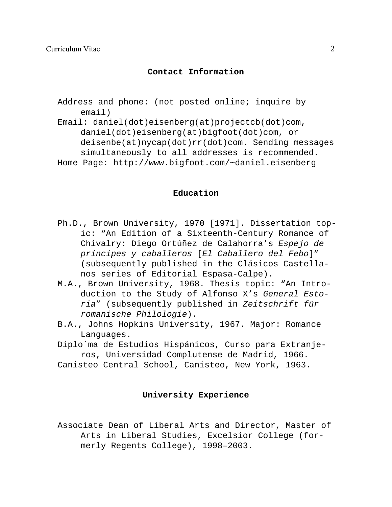# **Contact Information**

Address and phone: (not posted online; inquire by email)

Email: daniel(dot)eisenberg(at)projectcb(dot)com, daniel(dot)eisenberg(at)bigfoot(dot)com, or deisenbe(at)nycap(dot)rr(dot)com. Sending messages simultaneously to all addresses is recommended. Home Page: http://www.bigfoot.com/~daniel.eisenberg

#### **Education**

- Ph.D., Brown University, 1970 [1971]. Dissertation topic: "An Edition of a Sixteenth-Century Romance of Chivalry: Diego Ortúñez de Calahorra's *Espejo de príncipes y caballeros* [*El Caballero del Febo*]" (subsequently published in the Clásicos Castellanos series of Editorial Espasa-Calpe).
- M.A., Brown University, 1968. Thesis topic: "An Introduction to the Study of Alfonso X's *General Estoria*" (subsequently published in *Zeitschrift für romanische Philologie*).
- B.A., Johns Hopkins University, 1967. Major: Romance Languages.
- Diplo`ma de Estudios Hispánicos, Curso para Extranjeros, Universidad Complutense de Madrid, 1966.
- Canisteo Central School, Canisteo, New York, 1963.

#### **University Experience**

Associate Dean of Liberal Arts and Director, Master of Arts in Liberal Studies, Excelsior College (formerly Regents College), 1998–2003.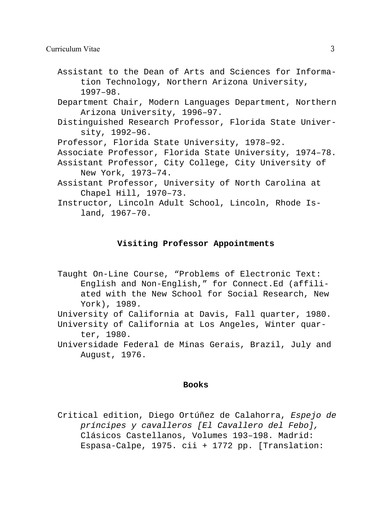- Assistant to the Dean of Arts and Sciences for Information Technology, Northern Arizona University, 1997–98.
- Department Chair, Modern Languages Department, Northern Arizona University, 1996–97.
- Distinguished Research Professor, Florida State University, 1992–96.
- Professor, Florida State University, 1978–92.
- Associate Professor, Florida State University, 1974–78.
- Assistant Professor, City College, City University of New York, 1973–74.
- Assistant Professor, University of North Carolina at Chapel Hill, 1970–73.
- Instructor, Lincoln Adult School, Lincoln, Rhode Island, 1967–70.

# **Visiting Professor Appointments**

- Taught On-Line Course, "Problems of Electronic Text: English and Non-English," for Connect.Ed (affiliated with the New School for Social Research, New York), 1989.
- University of California at Davis, Fall quarter, 1980. University of California at Los Angeles, Winter quarter, 1980.
- Universidade Federal de Minas Gerais, Brazil, July and August, 1976.

#### **Books**

Critical edition, Diego Ortúñez de Calahorra, *Espejo de príncipes y cavalleros [El Cavallero del Febo],* Clásicos Castellanos, Volumes 193–198. Madrid: Espasa-Calpe, 1975. cii + 1772 pp. [Translation: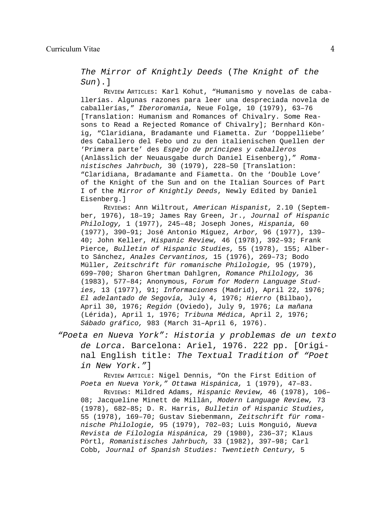*The Mirror of Knightly Deeds* (*The Knight of the Sun*).]

REVIEW ARTICLES: Karl Kohut, "Humanismo y novelas de caballerías. Algunas razones para leer una despreciada novela de caballerías," *Iberoromania,* Neue Folge, 10 (1979), 63–76 [Translation: Humanism and Romances of Chivalry. Some Reasons to Read a Rejected Romance of Chivalry]; Bernhard König, "Claridiana, Bradamante und Fiametta. Zur 'Doppelliebe' des Caballero del Febo und zu den italienischen Quellen der 'Primera parte' des *Espejo de príncipes y caballeros* (Anlässlich der Neuausgabe durch Daniel Eisenberg)," *Romanistisches Jahrbuch,* 30 (1979), 228–50 [Translation: "Claridiana, Bradamante and Fiametta. On the 'Double Love' of the Knight of the Sun and on the Italian Sources of Part I of the *Mirror of Knightly Deeds*, Newly Edited by Daniel Eisenberg.]

REVIEWS: Ann Wiltrout, *American Hispanist,* 2.10 (September, 1976), 18–19; James Ray Green, Jr., *Journal of Hispanic Philology,* 1 (1977), 245–48; Joseph Jones, *Hispania,* 60 (1977), 390–91; José Antonio Míguez, *Arbor,* 96 (1977), 139– 40; John Keller, *Hispanic Review,* 46 (1978), 392–93; Frank Pierce, *Bulletin of Hispanic Studies,* 55 (1978), 155; Alberto Sánchez, *Anales Cervantinos,* 15 (1976), 269–73; Bodo Müller, *Zeitschrift für romanische Philologie,* 95 (1979), 699–700; Sharon Ghertman Dahlgren, *Romance Philology,* 36 (1983), 577–84; Anonymous, *Forum for Modern Language Studies,* 13 (1977), 91; *Informaciones* (Madrid), April 22, 1976; *El adelantado de Segovia,* July 4, 1976; *Hierro* (Bilbao), April 30, 1976; *Región* (Oviedo), July 9, 1976; *La mañana* (Lérida), April 1, 1976; *Tribuna Médica*, April 2, 1976; *Sábado gráfico,* 983 (March 31–April 6, 1976).

*"Poeta en Nueva York": Historia y problemas de un texto de Lorca.* Barcelona: Ariel, 1976. 222 pp. [Original English title: *The Textual Tradition of "Poet in New York."*]

REVIEW ARTICLE: Nigel Dennis, "On the First Edition of *Poeta en Nueva York," Ottawa Hispánica,* 1 (1979), 47–83.

REVIEWS: Mildred Adams, *Hispanic Review,* 46 (1978), 106– 08; Jacqueline Minett de Millán, *Modern Language Review,* 73 (1978), 682–85; D. R. Harris, *Bulletin of Hispanic Studies,* 55 (1978), 169–70; Gustav Siebenmann, *Zeitschrift für romanische Philologie,* 95 (1979), 702–03; Luis Monguió, *Nueva Revista de Filología Hispánica,* 29 (1980), 236–37; Klaus Pörtl, *Romanistisches Jahrbuch,* 33 (1982), 397–98; Carl Cobb, *Journal of Spanish Studies: Twentieth Century,* 5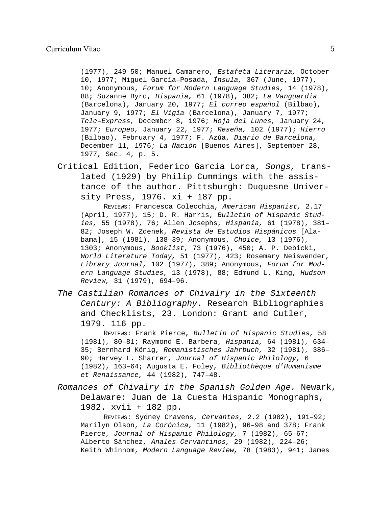(1977), 249–50; Manuel Camarero, *Estafeta Literaria,* October 10, 1977; Miguel García–Posada, *Ínsula,* 367 (June, 1977), 10; Anonymous, *Forum for Modern Language Studies,* 14 (1978), 88; Suzanne Byrd, *Hispania,* 61 (1978), 382; *La Vanguardia* (Barcelona), January 20, 1977; *El correo español* (Bilbao), January 9, 1977; *El Vigía* (Barcelona), January 7, 1977; *Tele–Express,* December 8, 1976; *Hoja del Lunes,* January 24, 1977; *Europeo,* January 22, 1977; *Reseña,* 102 (1977); *Hierro* (Bilbao), February 4, 1977; F. Azúa, *Diario de Barcelona,* December 11, 1976; *La Nación* [Buenos Aires], September 28, 1977, Sec. 4, p. 5.

Critical Edition, Federico García Lorca, *Songs,* translated (1929) by Philip Cummings with the assistance of the author. Pittsburgh: Duquesne University Press, 1976. xi + 187 pp.

REVIEWS: Francesca Colecchia, *American Hispanist,* 2.17 (April, 1977), 15; D. R. Harris, *Bulletin of Hispanic Studies,* 55 (1978), 76; Allen Josephs, *Hispania,* 61 (1978), 381– 82; Joseph W. Zdenek, *Revista de Estudios Hispánicos* [Alabama], 15 (1981), 138–39; Anonymous, *Choice,* 13 (1976), 1303; Anonymous, *Booklist,* 73 (1976), 450; A. P. Debicki, *World Literature Today,* 51 (1977), 423; Rosemary Neiswender, *Library Journal,* 102 (1977), 389; Anonymous, *Forum for Modern Language Studies,* 13 (1978), 88; Edmund L. King, *Hudson Review,* 31 (1979), 694–96.

*The Castilian Romances of Chivalry in the Sixteenth Century: A Bibliography.* Research Bibliographies and Checklists, 23. London: Grant and Cutler, 1979. 116 pp.

REVIEWS: Frank Pierce, *Bulletin of Hispanic Studies,* 58 (1981), 80–81; Raymond E. Barbera, *Hispania,* 64 (1981), 634– 35; Bernhard König, *Romanistisches Jahrbuch,* 32 (1981), 386– 90; Harvey L. Sharrer, *Journal of Hispanic Philology,* 6 (1982), 163–64; Augusta E. Foley, *Bibliothèque d'Humanisme et Renaissance,* 44 (1982), 747–48.

*Romances of Chivalry in the Spanish Golden Age.* Newark, Delaware: Juan de la Cuesta Hispanic Monographs, 1982. xvii + 182 pp.

REVIEWS: Sydney Cravens, *Cervantes,* 2.2 (1982), 191–92; Marilyn Olson, *La Corónica,* 11 (1982), 96–98 and 378; Frank Pierce, *Journal of Hispanic Philology,* 7 (1982), 65–67; Alberto Sánchez, *Anales Cervantinos,* 29 (1982), 224–26; Keith Whinnom, *Modern Language Review,* 78 (1983), 941; James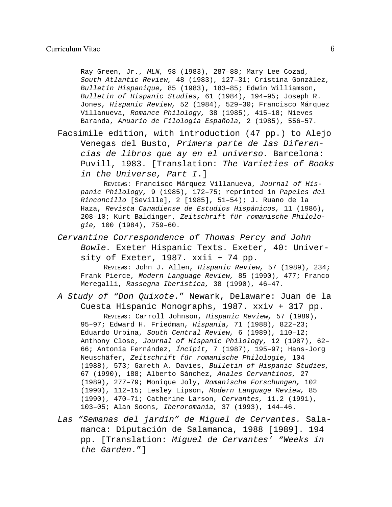Ray Green, Jr., *MLN,* 98 (1983), 287–88; Mary Lee Cozad, *South Atlantic Review,* 48 (1983), 127–31; Cristina González, *Bulletin Hispanique,* 85 (1983), 183–85; Edwin Williamson, *Bulletin of Hispanic Studies,* 61 (1984), 194–95; Joseph R. Jones, *Hispanic Review,* 52 (1984), 529–30; Francisco Márquez Villanueva, *Romance Philology,* 38 (1985), 415–18; Nieves Baranda, *Anuario de Filología Española,* 2 (1985), 556–57.

Facsimile edition, with introduction (47 pp.) to Alejo Venegas del Busto, *Primera parte de las Diferencias de libros que ay en el universo.* Barcelona: Puvill, 1983. [Translation: *The Varieties of Books in the Universe, Part I*.]

REVIEWS: Francisco Márquez Villanueva, *Journal of Hispanic Philology,* 9 (1985), 172–75; reprinted in *Papeles del Rinconcillo* [Seville], 2 [1985], 51–54); J. Ruano de la Haza, *Revista Canadiense de Estudios Hispánicos,* 11 (1986), 208–10; Kurt Baldinger, *Zeitschrift für romanische Philologie,* 100 (1984), 759–60.

*Cervantine Correspondence of Thomas Percy and John Bowle.* Exeter Hispanic Texts. Exeter, 40: University of Exeter, 1987. xxii + 74 pp.

REVIEWS: John J. Allen, *Hispanic Review,* 57 (1989), 234; Frank Pierce, *Modern Language Review,* 85 (1990), 477; Franco Meregalli, *Rassegna Iberistica,* 38 (1990), 46–47.

- *A Study of "Don Quixote.*" Newark, Delaware: Juan de la Cuesta Hispanic Monographs, 1987. xxiv + 317 pp. REVIEWS: Carroll Johnson, *Hispanic Review,* 57 (1989), 95–97; Edward H. Friedman, *Hispania,* 71 (1988), 822–23; Eduardo Urbina, *South Central Review,* 6 (1989), 110–12; Anthony Close, *Journal of Hispanic Philology,* 12 (1987), 62– 66; Antonia Fernández, *Íncipit,* 7 (1987), 195–97; Hans-Jorg Neuschäfer, *Zeitschrift für romanische Philologie,* 104 (1988), 573; Gareth A. Davies, *Bulletin of Hispanic Studies,* 67 (1990), 188; Alberto Sánchez, *Anales Cervantinos,* 27 (1989), 277–79; Monique Joly, *Romanische Forschungen,* 102 (1990), 112–15; Lesley Lipson, *Modern Language Review,* 85 (1990), 470–71; Catherine Larson, *Cervantes,* 11.2 (1991), 103–05; Alan Soons, *Iberoromania,* 37 (1993), 144–46.
- *Las "Semanas del jardín" de Miguel de Cervantes.* Salamanca: Diputación de Salamanca, 1988 [1989]. 194 pp. [Translation: *Miguel de Cervantes' "Weeks in the Garden*."]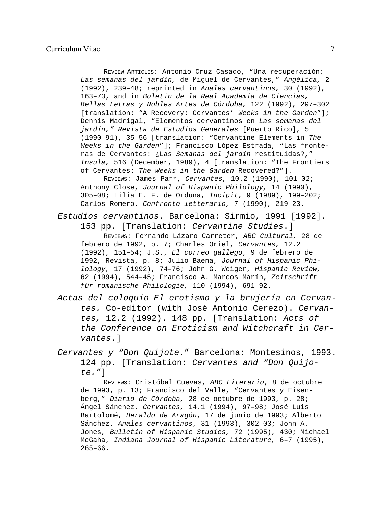REVIEW ARTICLES: Antonio Cruz Casado, "Una recuperación: *Las semanas del jardín,* de Miguel de Cervantes," *Angélica,* 2 (1992), 239–48; reprinted in *Anales cervantinos,* 30 (1992), 163–73, and in *Boletín de la Real Academia de Ciencias, Bellas Letras y Nobles Artes de Córdoba,* 122 (1992), 297–302 [translation: "A Recovery: Cervantes' *Weeks in the Garden*"]; Dennis Madrigal, "Elementos cervantinos en *Las semanas del jardín," Revista de Estudios Generales* [Puerto Rico], 5 (1990–91), 35–56 [translation: "Cervantine Elements in *The Weeks in the Garden*"]; Francisco López Estrada, "Las fronteras de Cervantes: ¿Las *Semanas del jardín* restituidas?," *Ínsula,* 516 (December, 1989), 4 [translation: "The Frontiers of Cervantes: *The Weeks in the Garden* Recovered?"]. REVIEWS: James Parr, *Cervantes,* 10.2 (1990), 101–02; Anthony Close, *Journal of Hispanic Philology,* 14 (1990), 305–08; Lilia E. F. de Orduna, *Íncipit,* 9 (1989), 199–202; Carlos Romero, *Confronto letterario,* 7 (1990), 219–23.

*Estudios cervantinos.* Barcelona: Sirmio, 1991 [1992].

153 pp. [Translation: *Cervantine Studies*.]

REVIEWS: Fernando Lázaro Carreter, *ABC Cultural,* 28 de febrero de 1992, p. 7; Charles Oriel, *Cervantes,* 12.2 (1992), 151–54; J.S., *El correo gallego*, 9 de febrero de 1992, Revista, p. 8; Julio Baena, *Journal of Hispanic Philology,* 17 (1992), 74–76; John G. Weiger, *Hispanic Review,* 62 (1994), 544–45; Francisco A. Marcos Marín, *Zeitschrift für romanische Philologie,* 110 (1994), 691–92.

*Actas del coloquio El erotismo y la brujería en Cervantes.* Co-editor (with José Antonio Cerezo). *Cervantes,* 12.2 (1992). 148 pp. [Translation: *Acts of the Conference on Eroticism and Witchcraft in Cervantes.*]

*Cervantes y "Don Quijote.*" Barcelona: Montesinos, 1993. 124 pp. [Translation: *Cervantes and "Don Quijote."*]

REVIEWS: Cristóbal Cuevas, *ABC Literario*, 8 de octubre de 1993, p. 13; Francisco del Valle, "Cervantes y Eisenberg," *Diario de Córdoba,* 28 de octubre de 1993, p. 28; Ángel Sánchez, *Cervantes,* 14.1 (1994), 97–98; José Luis Bartolomé, *Heraldo de Aragón*, 17 de junio de 1993; Alberto Sánchez, *Anales cervantinos*, 31 (1993), 302–03; John A. Jones, *Bulletin of Hispanic Studies,* 72 (1995), 430; Michael McGaha, *Indiana Journal of Hispanic Literature,* 6–7 (1995),  $265 - 66$ .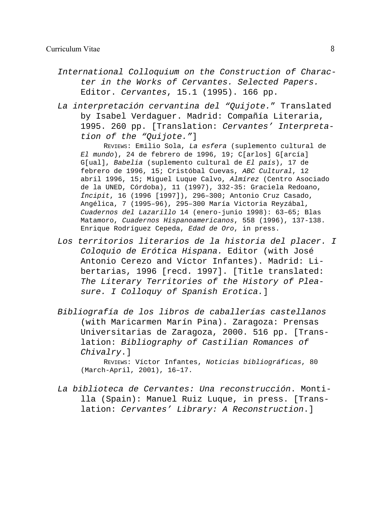- *International Colloquium on the Construction of Character in the Works of Cervantes. Selected Papers.* Editor. *Cervantes*, 15.1 (1995). 166 pp.
- *La interpretación cervantina del "Quijote.*" Translated by Isabel Verdaguer. Madrid: Compañía Literaria, 1995. 260 pp. [Translation: *Cervantes' Interpretation of the "Quijote."*]

REVIEWS: Emilio Sola, *La esfera* (suplemento cultural de *El mundo*), 24 de febrero de 1996, 19; C[arlos] G[arcía] G[ual], *Babelia* (suplemento cultural de *El país*), 17 de febrero de 1996, 15; Cristóbal Cuevas, *ABC Cultural*, 12 abril 1996, 15; Miguel Luque Calvo, *Almírez* (Centro Asociado de la UNED, Córdoba), 11 (1997), 332-35: Graciela Redoano, *Íncipit*, 16 (1996 [1997]), 296–300; Antonio Cruz Casado, Angélica, 7 (1995–96), 295–300 María Victoria Reyzábal, *Cuadernos del Lazarillo* 14 (enero-junio 1998): 63–65; Blas Matamoro, *Cuadernos Hispanoamericanos*, 558 (1996), 137-138. Enrique Rodríguez Cepeda, *Edad de Oro*, in press.

- *Los territorios literarios de la historia del placer. I Coloquio de Erótica Hispana.* Editor (with José Antonio Cerezo and Víctor Infantes). Madrid: Libertarias, 1996 [recd. 1997]. [Title translated: *The Literary Territories of the History of Pleasure. I Colloquy of Spanish Erotica.*]
- *Bibliografía de los libros de caballerías castellanos* (with Maricarmen Marín Pina). Zaragoza: Prensas Universitarias de Zaragoza, 2000. 516 pp. [Translation: *Bibliography of Castilian Romances of Chivalry*.]

REVIEWS: Víctor Infantes, *Noticias bibliográficas*, 80 (March-April, 2001), 16–17.

*La biblioteca de Cervantes: Una reconstrucción*. Montilla (Spain): Manuel Ruiz Luque, in press. [Translation: *Cervantes' Library: A Reconstruction*.]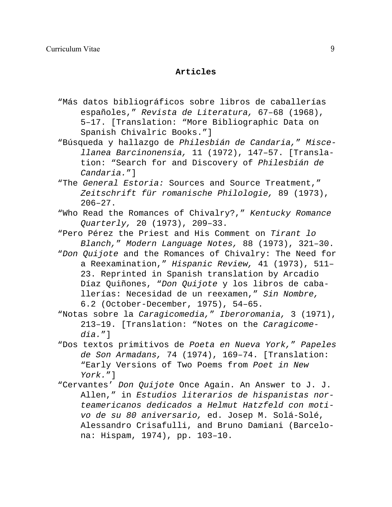# **Articles**

- "Más datos bibliográficos sobre libros de caballerías españoles," *Revista de Literatura,* 67–68 (1968), 5–17. [Translation: "More Bibliographic Data on Spanish Chivalric Books."]
- "Búsqueda y hallazgo de *Philesbián de Candaria,*" *Miscellanea Barcinonensia,* 11 (1972), 147–57. [Translation: "Search for and Discovery of *Philesbián de Candaria.*"]
- "The *General Estoria:* Sources and Source Treatment," *Zeitschrift für romanische Philologie,* 89 (1973), 206–27.
- "Who Read the Romances of Chivalry?," *Kentucky Romance Quarterly,* 20 (1973), 209–33.
- "Pero Pérez the Priest and His Comment on *Tirant lo Blanch,*" *Modern Language Notes,* 88 (1973), 321–30.
- "*Don Quijote* and the Romances of Chivalry: The Need for a Reexamination," *Hispanic Review,* 41 (1973), 511– 23. Reprinted in Spanish translation by Arcadio Díaz Quiñones, "*Don Quijote* y los libros de caballerías: Necesidad de un reexamen," *Sin Nombre,* 6.2 (October-December, 1975), 54–65.
- "Notas sobre la *Caragicomedia,*" *Iberoromania,* 3 (1971), 213–19. [Translation: "Notes on the *Caragicomedia.*"]
- "Dos textos primitivos de *Poeta en Nueva York,*" *Papeles de Son Armadans,* 74 (1974), 169–74. [Translation: "Early Versions of Two Poems from *Poet in New York.*"]
- "Cervantes' *Don Quijote* Once Again. An Answer to J. J. Allen," in *Estudios literarios de hispanistas norteamericanos dedicados a Helmut Hatzfeld con motivo de su 80 aniversario,* ed. Josep M. Solá-Solé, Alessandro Crisafulli, and Bruno Damiani (Barcelona: Hispam, 1974), pp. 103–10.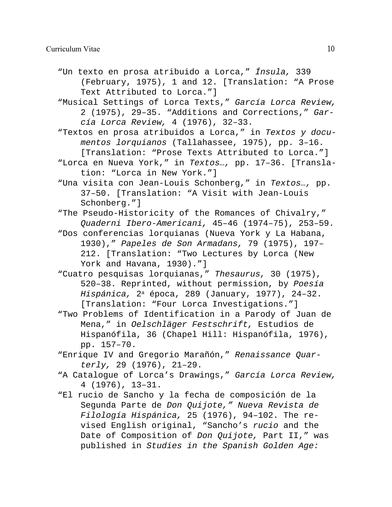- "Un texto en prosa atribuido a Lorca," *Ínsula,* 339 (February, 1975), 1 and 12. [Translation: "A Prose Text Attributed to Lorca."]
- "Musical Settings of Lorca Texts," *García Lorca Review,* 2 (1975), 29–35. "Additions and Corrections," *García Lorca Review,* 4 (1976), 32–33.
- "Textos en prosa atribuidos a Lorca," in *Textos y documentos lorquianos* (Tallahassee, 1975), pp. 3–16. [Translation: "Prose Texts Attributed to Lorca."]
- "Lorca en Nueva York," in *Textos…,* pp. 17–36. [Translation: "Lorca in New York."]
- "Una visita con Jean-Louis Schonberg," in *Textos…,* pp. 37–50. [Translation: "A Visit with Jean-Louis Schonberg."]
- "The Pseudo-Historicity of the Romances of Chivalry," *Quaderni Ibero-Americani,* 45–46 (1974–75), 253–59.
- "Dos conferencias lorquianas (Nueva York y La Habana, 1930)," *Papeles de Son Armadans,* 79 (1975), 197– 212. [Translation: "Two Lectures by Lorca (New York and Havana, 1930)."]
- "Cuatro pesquisas lorquianas," *Thesaurus,* 30 (1975), 520–38. Reprinted, without permission, by *Poesía Hispánica,* 2<sup>a</sup> época, 289 (January, 1977), 24–32. [Translation: "Four Lorca Investigations."]
- "Two Problems of Identification in a Parody of Juan de Mena," in *Oelschläger Festschrift,* Estudios de Hispanófila, 36 (Chapel Hill: Hispanófila, 1976), pp. 157–70.
- "Enrique IV and Gregorio Marañón," *Renaissance Quarterly,* 29 (1976), 21–29.
- "A Catalogue of Lorca's Drawings," *García Lorca Review,* 4 (1976), 13–31.
- "El rucio de Sancho y la fecha de composición de la Segunda Parte de *Don Quijote," Nueva Revista de Filología Hispánica,* 25 (1976), 94–102. The revised English original, "Sancho's *rucio* and the Date of Composition of *Don Quijote,* Part II," was published in *Studies in the Spanish Golden Age:*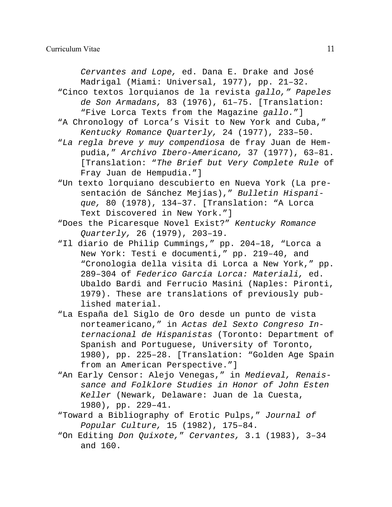*Cervantes and Lope,* ed. Dana E. Drake and José Madrigal (Miami: Universal, 1977), pp. 21–32. "Cinco textos lorquianos de la revista *gallo," Papeles*

- *de Son Armadans,* 83 (1976), 61–75. [Translation: "Five Lorca Texts from the Magazine *gallo.*"]
- "A Chronology of Lorca's Visit to New York and Cuba," *Kentucky Romance Quarterly,* 24 (1977), 233–50.
- "*La regla breve y muy compendiosa* de fray Juan de Hempudia," *Archivo Ibero-Americano,* 37 (1977), 63–81. [Translation: "*The Brief but Very Complete Rule* of Fray Juan de Hempudia."]
- "Un texto lorquiano descubierto en Nueva York (La presentación de Sánchez Mejías)," *Bulletin Hispanique,* 80 (1978), 134–37. [Translation: "A Lorca Text Discovered in New York."]
- "Does the Picaresque Novel Exist?" *Kentucky Romance Quarterly,* 26 (1979), 203–19.
- "Il diario de Philip Cummings," pp. 204–18, "Lorca a New York: Testi e documenti," pp. 219–40, and "Cronologia della visita di Lorca a New York," pp. 289–304 of *Federico García Lorca: Materiali,* ed. Ubaldo Bardi and Ferrucio Masini (Naples: Pironti, 1979). These are translations of previously published material.
- "La España del Siglo de Oro desde un punto de vista norteamericano," in *Actas del Sexto Congreso Internacional de Hispanistas* (Toronto: Department of Spanish and Portuguese, University of Toronto, 1980), pp. 225–28. [Translation: "Golden Age Spain from an American Perspective."]
- "An Early Censor: Alejo Venegas," in *Medieval, Renaissance and Folklore Studies in Honor of John Esten Keller* (Newark, Delaware: Juan de la Cuesta, 1980), pp. 229–41.
- "Toward a Bibliography of Erotic Pulps," *Journal of Popular Culture,* 15 (1982), 175–84.
- "On Editing *Don Quixote,*" *Cervantes,* 3.1 (1983), 3–34 and 160.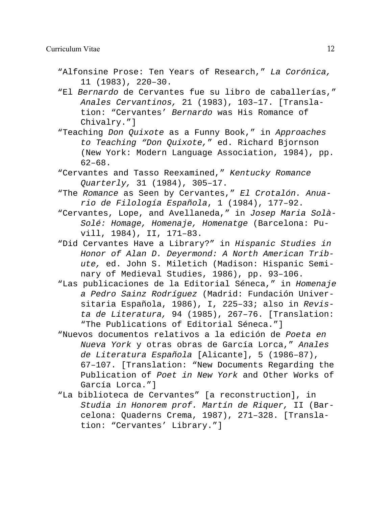- "Alfonsine Prose: Ten Years of Research," *La Corónica,* 11 (1983), 220–30.
- "El *Bernardo* de Cervantes fue su libro de caballerías," *Anales Cervantinos,* 21 (1983), 103–17. [Translation: "Cervantes' *Bernardo* was His Romance of Chivalry."]
- "Teaching *Don Quixote* as a Funny Book," in *Approaches to Teaching "Don Quixote,*" ed. Richard Bjornson (New York: Modern Language Association, 1984), pp. 62–68.
- "Cervantes and Tasso Reexamined," *Kentucky Romance Quarterly,* 31 (1984), 305–17.
- "The *Romance* as Seen by Cervantes," *El Crotalón. Anuario de Filología Española*, 1 (1984), 177–92.
- "Cervantes, Lope, and Avellaneda," in *Josep Maria Solà-Solé: Homage, Homenaje, Homenatge* (Barcelona: Puvill, 1984), II, 171–83.
- "Did Cervantes Have a Library?" in *Hispanic Studies in Honor of Alan D. Deyermond: A North American Tribute,* ed. John S. Miletich (Madison: Hispanic Seminary of Medieval Studies, 1986), pp. 93–106.
- "Las publicaciones de la Editorial Séneca," in *Homenaje a Pedro Sainz Rodríguez* (Madrid: Fundación Universitaria Española, 1986), I, 225–33; also in *Revista de Literatura,* 94 (1985), 267–76. [Translation: "The Publications of Editorial Séneca."]
- "Nuevos documentos relativos a la edición de *Poeta en Nueva York* y otras obras de García Lorca," *Anales de Literatura Española* [Alicante], 5 (1986–87), 67–107. [Translation: "New Documents Regarding the Publication of *Poet in New York* and Other Works of García Lorca."]
- "La biblioteca de Cervantes" [a reconstruction], in *Studia in Honorem prof. Martín de Riquer,* II (Barcelona: Quaderns Crema, 1987), 271–328. [Translation: "Cervantes' Library."]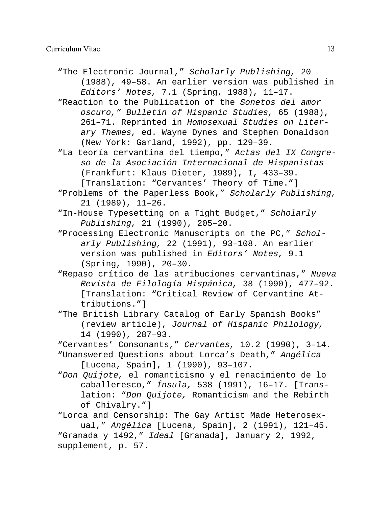- "The Electronic Journal," *Scholarly Publishing,* 20 (1988), 49–58. An earlier version was published in *Editors' Notes,* 7.1 (Spring, 1988), 11–17.
- "Reaction to the Publication of the *Sonetos del amor oscuro," Bulletin of Hispanic Studies,* 65 (1988), 261–71. Reprinted in *Homosexual Studies on Literary Themes,* ed. Wayne Dynes and Stephen Donaldson (New York: Garland, 1992), pp. 129–39.
- "La teoría cervantina del tiempo," *Actas del IX Congreso de la Asociación Internacional de Hispanistas* (Frankfurt: Klaus Dieter, 1989), I, 433–39. [Translation: "Cervantes' Theory of Time."]
- "Problems of the Paperless Book," *Scholarly Publishing,* 21 (1989), 11–26.
- "In-House Typesetting on a Tight Budget," *Scholarly Publishing,* 21 (1990), 205–20.
- "Processing Electronic Manuscripts on the PC," *Scholarly Publishing,* 22 (1991), 93–108. An earlier version was published in *Editors' Notes,* 9.1 (Spring, 1990), 20–30.
- "Repaso crítico de las atribuciones cervantinas," *Nueva Revista de Filología Hispánica,* 38 (1990), 477–92. [Translation: "Critical Review of Cervantine Attributions."]
- "The British Library Catalog of Early Spanish Books" (review article), *Journal of Hispanic Philology,* 14 (1990), 287–93.
- "Cervantes' Consonants," *Cervantes,* 10.2 (1990), 3–14.
- "Unanswered Questions about Lorca's Death," *Angélica* [Lucena, Spain], 1 (1990), 93–107.
- "*Don Quijote,* el romanticismo y el renacimiento de lo caballeresco," *Ínsula,* 538 (1991), 16–17. [Translation: "*Don Quijote,* Romanticism and the Rebirth of Chivalry."]

"Lorca and Censorship: The Gay Artist Made Heterosexual," *Angélica* [Lucena, Spain], 2 (1991), 121–45. "Granada y 1492," *Ideal* [Granada], January 2, 1992, supplement, p. 57.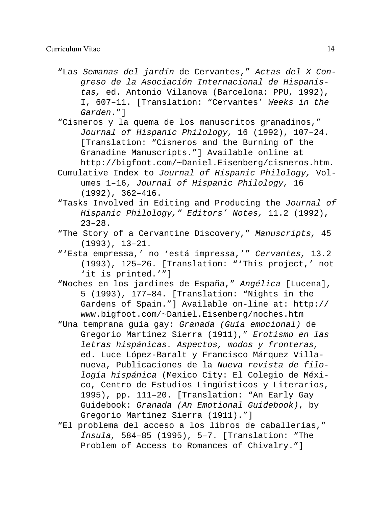- "Las *Semanas del jardín* de Cervantes," *Actas del X Congreso de la Asociación Internacional de Hispanistas,* ed. Antonio Vilanova (Barcelona: PPU, 1992), I, 607–11. [Translation: "Cervantes' *Weeks in the Garden*."]
- "Cisneros y la quema de los manuscritos granadinos," *Journal of Hispanic Philology,* 16 (1992), 107–24. [Translation: "Cisneros and the Burning of the Granadine Manuscripts."] Available online at http://bigfoot.com/~Daniel.Eisenberg/cisneros.htm.
- Cumulative Index to *Journal of Hispanic Philology,* Volumes 1–16, *Journal of Hispanic Philology,* 16 (1992), 362–416.
- "Tasks Involved in Editing and Producing the *Journal of Hispanic Philology," Editors' Notes,* 11.2 (1992),  $23 - 28$ .
- "The Story of a Cervantine Discovery," *Manuscripts,* 45 (1993), 13–21.
- "'Esta empressa,' no 'está impressa,'" *Cervantes,* 13.2 (1993), 125–26. [Translation: "'This project,' not 'it is printed.'"]
- "Noches en los jardines de España," *Angélica* [Lucena], 5 (1993), 177–84. [Translation: "Nights in the Gardens of Spain."] Available on-line at: http:// www.bigfoot.com/~Daniel.Eisenberg/noches.htm
- "Una temprana guía gay: *Granada (Guía emocional)* de Gregorio Martínez Sierra (1911)," *Erotismo en las letras hispánicas. Aspectos, modos y fronteras,* ed. Luce López-Baralt y Francisco Márquez Villanueva, Publicaciones de la *Nueva revista de filología hispánica* (Mexico City: El Colegio de México, Centro de Estudios Lingüísticos y Literarios, 1995), pp. 111–20. [Translation: "An Early Gay Guidebook: *Granada (An Emotional Guidebook)*, by Gregorio Martínez Sierra (1911)."]
- "El problema del acceso a los libros de caballerías," *Ínsula,* 584–85 (1995), 5–7. [Translation: "The Problem of Access to Romances of Chivalry."]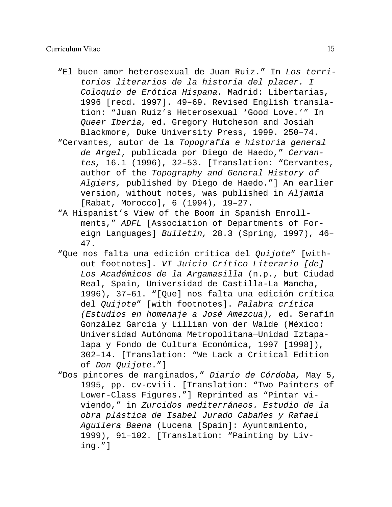# Curriculum Vitae 15

- "El buen amor heterosexual de Juan Ruiz." In *Los territorios literarios de la historia del placer. I Coloquio de Erótica Hispana.* Madrid: Libertarias, 1996 [recd. 1997]. 49–69. Revised English translation: "Juan Ruiz's Heterosexual 'Good Love.'" In *Queer Iberia,* ed. Gregory Hutcheson and Josiah Blackmore, Duke University Press, 1999. 250–74.
- "Cervantes, autor de la *Topografía e historia general de Argel*, publicada por Diego de Haedo," *Cervantes,* 16.1 (1996), 32–53. [Translation: "Cervantes, author of the *Topography and General History of Algiers,* published by Diego de Haedo."] An earlier version, without notes, was published in *Aljamía* [Rabat, Morocco], 6 (1994), 19–27.
- "A Hispanist's View of the Boom in Spanish Enrollments," *ADFL* [Association of Departments of Foreign Languages] *Bulletin,* 28.3 (Spring, 1997), 46– 47.
- "Que nos falta una edición crítica del *Quijote*" [without footnotes]. *VI Juicio Crítico Literario [de] Los Académicos de la Argamasilla* (n.p., but Ciudad Real, Spain, Universidad de Castilla-La Mancha, 1996), 37–61. "[Que] nos falta una edición crítica del *Quijote*" [with footnotes]. *Palabra crítica (Estudios en homenaje a José Amezcua),* ed. Serafín González García y Lillian von der Walde (México: Universidad Autónoma Metropolitana—Unidad Iztapalapa y Fondo de Cultura Económica, 1997 [1998]), 302–14. [Translation: "We Lack a Critical Edition of *Don Quijote*."]
- "Dos pintores de marginados," *Diario de Córdoba,* May 5, 1995, pp. cv-cviii. [Translation: "Two Painters of Lower-Class Figures."] Reprinted as "Pintar viviendo," in *Zurcidos mediterráneos. Estudio de la obra plástica de Isabel Jurado Cabañes y Rafael Aguilera Baena* (Lucena [Spain]: Ayuntamiento, 1999), 91–102. [Translation: "Painting by Living."]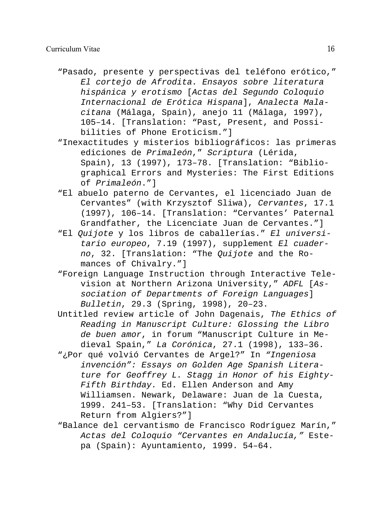- "Pasado, presente y perspectivas del teléfono erótico," *El cortejo de Afrodita. Ensayos sobre literatura hispánica y erotismo* [*Actas del Segundo Coloquio Internacional de Erótica Hispana*], *Analecta Malacitana* (Málaga, Spain), anejo 11 (Málaga, 1997), 105–14. [Translation: "Past, Present, and Possibilities of Phone Eroticism."]
- "Inexactitudes y misterios bibliográficos: las primeras ediciones de *Primaleón*," *Scriptura* (Lérida, Spain), 13 (1997), 173–78. [Translation: "Bibliographical Errors and Mysteries: The First Editions of *Primaleón*."]
- "El abuelo paterno de Cervantes, el licenciado Juan de Cervantes" (with Krzysztof Sliwa), *Cervantes*, 17.1 (1997), 106–14. [Translation: "Cervantes' Paternal Grandfather, the Licenciate Juan de Cervantes."]
- "El *Quijote* y los libros de caballerías." *El universitario europeo*, 7.19 (1997), supplement *El cuaderno*, 32. [Translation: "The *Quijote* and the Romances of Chivalry."]
- "Foreign Language Instruction through Interactive Television at Northern Arizona University," *ADFL* [*Association of Departments of Foreign Languages*] *Bulletin*, 29.3 (Spring, 1998), 20–23.
- Untitled review article of John Dagenais, *The Ethics of Reading in Manuscript Culture: Glossing the Libro de buen amor*, in forum "Manuscript Culture in Medieval Spain," *La Corónica*, 27.1 (1998), 133–36.
- "¿Por qué volvió Cervantes de Argel?" In *"Ingeniosa invención": Essays on Golden Age Spanish Literature for Geoffrey L. Stagg in Honor of his Eighty-Fifth Birthday.* Ed. Ellen Anderson and Amy Williamsen. Newark, Delaware: Juan de la Cuesta, 1999. 241–53. [Translation: "Why Did Cervantes Return from Algiers?"]
- "Balance del cervantismo de Francisco Rodríguez Marín," *Actas del Coloquio "Cervantes en Andalucía,"* Estepa (Spain): Ayuntamiento, 1999. 54–64.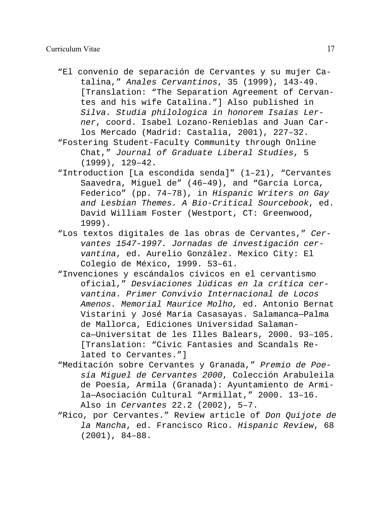- "El convenio de separación de Cervantes y su mujer Catalina," *Anales Cervantinos*, 35 (1999), 143-49. [Translation: "The Separation Agreement of Cervantes and his wife Catalina."] Also published in *Silva. Studia philologica in honorem Isaías Lerner*, coord. Isabel Lozano-Renieblas and Juan Carlos Mercado (Madrid: Castalia, 2001), 227–32.
- "Fostering Student-Faculty Community through Online Chat," *Journal of Graduate Liberal Studies*, 5 (1999), 129–42.
- "Introduction [La escondida senda]" (1–21), "Cervantes Saavedra, Miguel de" (46–49), and "García Lorca, Federico" (pp. 74–78), in *Hispanic Writers on Gay and Lesbian Themes. A Bio-Critical Sourcebook*, ed. David William Foster (Westport, CT: Greenwood, 1999).
- "Los textos digitales de las obras de Cervantes," *Cervantes 1547-1997. Jornadas de investigación cervantina*, ed. Aurelio González. Mexico City: El Colegio de México, 1999. 53–61.
- "Invenciones y escándalos cívicos en el cervantismo oficial," *Desviaciones lúdicas en la crítica cervantina. Primer Convivio Internacional de Locos Amenos. Memorial Maurice Molho,* ed. Antonio Bernat Vistarini y José María Casasayas. Salamanca—Palma de Mallorca, Ediciones Universidad Salamanca—Universitat de les Illes Balears, 2000. 93–105. [Translation: "Civic Fantasies and Scandals Related to Cervantes."]
- "Meditación sobre Cervantes y Granada," *Premio de Poesía Miguel de Cervantes 2000*, Colección Arabuleila de Poesía, Armila (Granada): Ayuntamiento de Armila—Asociación Cultural "Armillat," 2000. 13–16. Also in *Cervantes* 22.2 (2002), 5–7.
- "Rico, por Cervantes." Review article of *Don Quijote de la Mancha*, ed. Francisco Rico. *Hispanic Review*, 68 (2001), 84–88.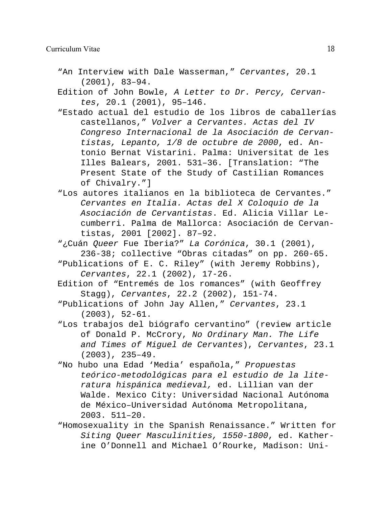- "An Interview with Dale Wasserman," *Cervantes*, 20.1 (2001), 83–94.
- Edition of John Bowle, *A Letter to Dr. Percy, Cervantes*, 20.1 (2001), 95–146.
- "Estado actual del estudio de los libros de caballerías castellanos," *Volver a Cervantes. Actas del IV Congreso Internacional de la Asociación de Cervantistas, Lepanto, 1/8 de octubre de 2000*, ed. Antonio Bernat Vistarini. Palma: Universitat de les Illes Balears, 2001. 531–36. [Translation: "The Present State of the Study of Castilian Romances of Chivalry."]
- "Los autores italianos en la biblioteca de Cervantes." *Cervantes en Italia. Actas del X Coloquio de la Asociación de Cervantistas*. Ed. Alicia Villar Lecumberri. Palma de Mallorca: Asociación de Cervantistas, 2001 [2002]. 87–92.
- "¿Cuán *Queer* Fue Iberia?" *La Corónica*, 30.1 (2001), 236-38; collective "Obras citadas" on pp. 260-65.
- "Publications of E. C. Riley" (with Jeremy Robbins), *Cervantes*, 22.1 (2002), 17-26.
- Edition of "Entremés de los romances" (with Geoffrey Stagg), *Cervantes*, 22.2 (2002), 151-74.
- "Publications of John Jay Allen," *Cervantes*, 23.1 (2003), 52-61.
- "Los trabajos del biógrafo cervantino" (review article of Donald P. McCrory, *No Ordinary Man. The Life and Times of Miguel de Cervantes*), *Cervantes*, 23.1 (2003), 235–49.
- "No hubo una Edad 'Media' española," *Propuestas teórico-metodológicas para el estudio de la literatura hispánica medieval,* ed. Lillian van der Walde. Mexico City: Universidad Nacional Autónoma de México–Universidad Autónoma Metropolitana, 2003. 511–20.
- "Homosexuality in the Spanish Renaissance." Written for *Siting Queer Masculinities, 1550-1800*, ed. Katherine O'Donnell and Michael O'Rourke, Madison: Uni-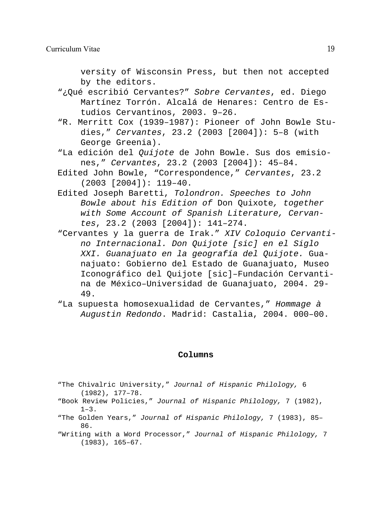versity of Wisconsin Press, but then not accepted by the editors.

- "¿Qué escribió Cervantes?" *Sobre Cervantes*, ed. Diego Martínez Torrón. Alcalá de Henares: Centro de Estudios Cervantinos, 2003. 9–26.
- "R. Merritt Cox (1939–1987): Pioneer of John Bowle Studies," *Cervantes*, 23.2 (2003 [2004]): 5–8 (with George Greenia).
- "La edición del *Quijote* de John Bowle. Sus dos emisiones," *Cervantes*, 23.2 (2003 [2004]): 45–84.
- Edited John Bowle, "Correspondence," *Cervantes*, 23.2 (2003 [2004]): 119–40.
- Edited Joseph Baretti, *Tolondron. Speeches to John Bowle about his Edition of* Don Quixote*, together with Some Account of Spanish Literature, Cervantes*, 23.2 (2003 [2004]): 141–274.
- "Cervantes y la guerra de Irak." *XIV Coloquio Cervantino Internacional. Don Quijote [sic] en el Siglo XXI. Guanajuato en la geografía del Quijote.* Guanajuato: Gobierno del Estado de Guanajuato, Museo Iconográfico del Quijote [sic]–Fundación Cervantina de México–Universidad de Guanajuato, 2004. 29- 49.
- "La supuesta homosexualidad de Cervantes," *Hommage à Augustin Redondo*. Madrid: Castalia, 2004. 000–00.

#### **Columns**

- "The Chivalric University," *Journal of Hispanic Philology,* 6 (1982), 177–78.
- "Book Review Policies," *Journal of Hispanic Philology,* 7 (1982),  $1-3$ .
- "The Golden Years," *Journal of Hispanic Philology,* 7 (1983), 85– 86.
- "Writing with a Word Processor," *Journal of Hispanic Philology,* 7 (1983), 165–67.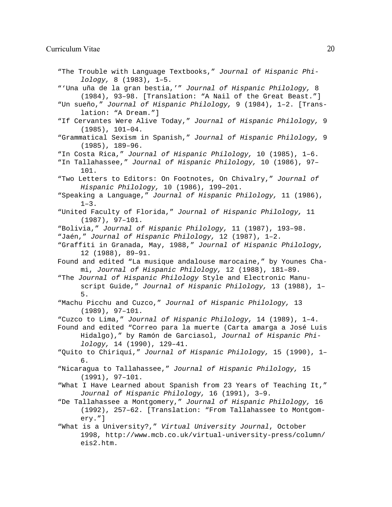"The Trouble with Language Textbooks," *Journal of Hispanic Philology,* 8 (1983), 1–5. "'Una uña de la gran bestia,'" *Journal of Hispanic Philology,* 8 (1984), 93–98. [Translation: "A Nail of the Great Beast."] "Un sueño," *Journal of Hispanic Philology,* 9 (1984), 1–2. [Translation: "A Dream."] "If Cervantes Were Alive Today," *Journal of Hispanic Philology,* 9 (1985), 101–04. "Grammatical Sexism in Spanish," *Journal of Hispanic Philology,* 9 (1985), 189–96. "In Costa Rica," *Journal of Hispanic Philology,* 10 (1985), 1–6. "In Tallahassee," *Journal of Hispanic Philology,* 10 (1986), 97– 101. "Two Letters to Editors: On Footnotes, On Chivalry," *Journal of Hispanic Philology,* 10 (1986), 199–201. "Speaking a Language," *Journal of Hispanic Philology,* 11 (1986),  $1-3$ . "United Faculty of Florida," *Journal of Hispanic Philology,* 11 (1987), 97–101. "Bolivia," *Journal of Hispanic Philology,* 11 (1987), 193–98. "Jaén," *Journal of Hispanic Philology,* 12 (1987), 1–2. "Graffiti in Granada, May, 1988," *Journal of Hispanic Philology,* 12 (1988), 89–91. Found and edited "La musique andalouse marocaine," by Younes Chami, *Journal of Hispanic Philology,* 12 (1988), 181–89. "The *Journal of Hispanic Philology* Style and Electronic Manuscript Guide," *Journal of Hispanic Philology,* 13 (1988), 1– 5. "Machu Picchu and Cuzco," *Journal of Hispanic Philology,* 13 (1989), 97–101. "Cuzco to Lima," *Journal of Hispanic Philology,* 14 (1989), 1–4. Found and edited "Correo para la muerte (Carta amarga a José Luis Hidalgo)," by Ramón de Garciasol, *Journal of Hispanic Philology,* 14 (1990), 129–41. "Quito to Chiriquí," *Journal of Hispanic Philology,* 15 (1990), 1– 6. "Nicaragua to Tallahassee," *Journal of Hispanic Philology,* 15 (1991), 97–101. "What I Have Learned about Spanish from 23 Years of Teaching It," *Journal of Hispanic Philology,* 16 (1991), 3–9. "De Tallahassee a Montgomery," *Journal of Hispanic Philology,* 16 (1992), 257–62. [Translation: "From Tallahassee to Montgomery."] "What is a University?," *Virtual University Journal*, October 1998, http://www.mcb.co.uk/virtual-university-press/column/ eis2.htm.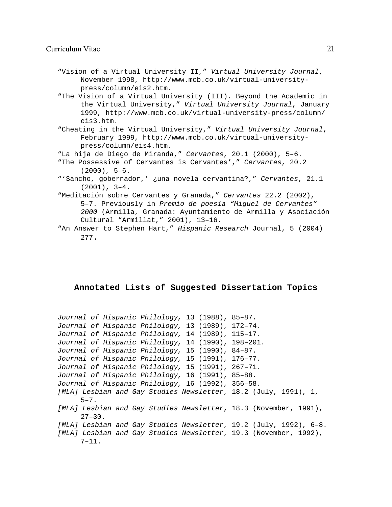#### Curriculum Vitae 21

- "Vision of a Virtual University II," *Virtual University Journal*, November 1998, http://www.mcb.co.uk/virtual-universitypress/column/eis2.htm.
- "The Vision of a Virtual University (III). Beyond the Academic in the Virtual University," *Virtual University Journal*, January 1999, http://www.mcb.co.uk/virtual-university-press/column/ eis3.htm.
- "Cheating in the Virtual University," *Virtual University Journal*, February 1999, http://www.mcb.co.uk/virtual-universitypress/column/eis4.htm.
- "La hija de Diego de Miranda," *Cervantes*, 20.1 (2000), 5–6.
- "The Possessive of Cervantes is Cervantes'," *Cervantes*, 20.2  $(2000)$ , 5-6.
- "'Sancho, gobernador,' ¿una novela cervantina?," *Cervantes*, 21.1 (2001), 3–4.
- "Meditación sobre Cervantes y Granada," *Cervantes* 22.2 (2002), 5–7. Previously in *Premio de poesía "Miguel de Cervantes" 2000* (Armilla, Granada: Ayuntamiento de Armilla y Asociación Cultural "Armillat," 2001), 13–16.
- "An Answer to Stephen Hart," *Hispanic Research* Journal, 5 (2004) 277.

#### **Annotated Lists of Suggested Dissertation Topics**

```
Journal of Hispanic Philology, 13 (1988), 85–87.
Journal of Hispanic Philology, 13 (1989), 172–74.
Journal of Hispanic Philology, 14 (1989), 115–17.
Journal of Hispanic Philology, 14 (1990), 198–201.
Journal of Hispanic Philology, 15 (1990), 84–87.
Journal of Hispanic Philology, 15 (1991), 176–77.
Journal of Hispanic Philology, 15 (1991), 267–71.
Journal of Hispanic Philology, 16 (1991), 85–88.
Journal of Hispanic Philology, 16 (1992), 356–58.
[MLA] Lesbian and Gay Studies Newsletter, 18.2 (July, 1991), 1,
     5 - 7.
[MLA] Lesbian and Gay Studies Newsletter, 18.3 (November, 1991),
      27 - 30.
[MLA] Lesbian and Gay Studies Newsletter, 19.2 (July, 1992), 6–8.
[MLA] Lesbian and Gay Studies Newsletter, 19.3 (November, 1992),
     7 - 11.
```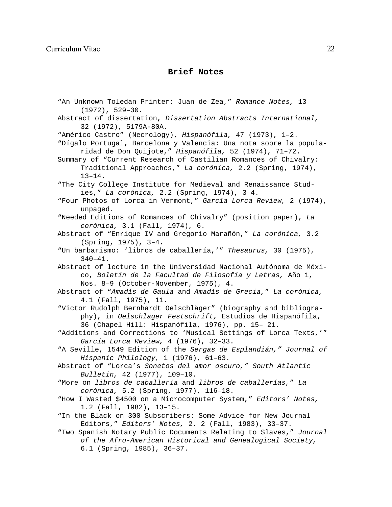# **Brief Notes**

"An Unknown Toledan Printer: Juan de Zea," *Romance Notes,* 13 (1972), 529–30. Abstract of dissertation, *Dissertation Abstracts International,* 32 (1972), 5179A-80A. "Américo Castro" (Necrology), *Hispanófila,* 47 (1973), 1–2. "Dígalo Portugal, Barcelona y Valencia: Una nota sobre la popularidad de Don Quijote," *Hispanófila,* 52 (1974), 71–72. Summary of "Current Research of Castilian Romances of Chivalry: Traditional Approaches," *La corónica,* 2.2 (Spring, 1974), 13–14. "The City College Institute for Medieval and Renaissance Studies," *La corónica,* 2.2 (Spring, 1974), 3–4. "Four Photos of Lorca in Vermont," *García Lorca Review,* 2 (1974), unpaged. "Needed Editions of Romances of Chivalry" (position paper), *La corónica,* 3.1 (Fall, 1974), 6. Abstract of "Enrique IV and Gregorio Marañón," *La corónica,* 3.2 (Spring, 1975), 3–4. "Un barbarismo: 'libros de caballería,'" *Thesaurus,* 30 (1975),  $340 - 41$ . Abstract of lecture in the Universidad Nacional Autónoma de México, *Boletín de la Facultad de Filosofía y Letras,* Año 1, Nos. 8–9 (October-November, 1975), 4. Abstract of "*Amadís de Gaula* and *Amadís de Grecia,*" *La corónica,* 4.1 (Fall, 1975), 11. "Victor Rudolph Bernhardt Oelschläger" (biography and bibliography), in *Oelschläger Festschrift,* Estudios de Hispanófila, 36 (Chapel Hill: Hispanófila, 1976), pp. 15– 21. "Additions and Corrections to 'Musical Settings of Lorca Texts,'" *García Lorca Review,* 4 (1976), 32–33. "A Seville, 1549 Edition of the *Sergas de Esplandián," Journal of Hispanic Philology,* 1 (1976), 61–63. Abstract of "Lorca's *Sonetos del amor oscuro," South Atlantic Bulletin,* 42 (1977), 109–10. "More on *libros de caballería* and *libros de caballerías,*" *La corónica,* 5.2 (Spring, 1977), 116–18. "How I Wasted \$4500 on a Microcomputer System," *Editors' Notes,* 1.2 (Fall, 1982), 13–15. "In the Black on 300 Subscribers: Some Advice for New Journal Editors," *Editors' Notes,* 2. 2 (Fall, 1983), 33–37. "Two Spanish Notary Public Documents Relating to Slaves," *Journal of the Afro-American Historical and Genealogical Society,* 6.1 (Spring, 1985), 36–37.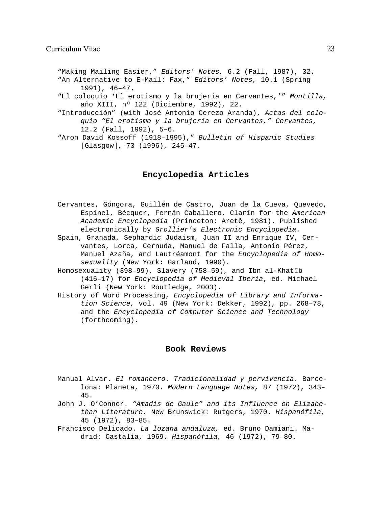"Making Mailing Easier," *Editors' Notes,* 6.2 (Fall, 1987), 32. "An Alternative to E-Mail: Fax," *Editors' Notes,* 10.1 (Spring 1991), 46–47.

- "El coloquio 'El erotismo y la brujería en Cervantes,'" *Montilla,* año XIII, nº 122 (Diciembre, 1992), 22.
- "Introducción" (with José Antonio Cerezo Aranda), *Actas del coloquio "El erotismo y la brujería en Cervantes," Cervantes,* 12.2 (Fall, 1992), 5–6.
- "Aron David Kossoff (1918–1995)," *Bulletin of Hispanic Studies* [Glasgow], 73 (1996), 245–47.

# **Encyclopedia Articles**

- Cervantes, Góngora, Guillén de Castro, Juan de la Cueva, Quevedo, Espinel, Bécquer, Fernán Caballero, Clarín for the *American Academic Encyclopedia* (Princeton: Aretê, 1981). Published electronically by *Grollier's Electronic Encyclopedia.*
- Spain, Granada, Sephardic Judaism, Juan II and Enrique IV, Cervantes, Lorca, Cernuda, Manuel de Falla, Antonio Pérez, Manuel Azaña, and Lautréamont for the *Encyclopedia of Homosexuality* (New York: Garland, 1990).
- Homosexuality (398-99), Slavery (758-59), and Ibn al-Khatīb (416–17) for *Encyclopedia of Medieval Iberia*, ed. Michael Gerli (New York: Routledge, 2003).
- History of Word Processing, *Encyclopedia of Library and Information Science,* vol. 49 (New York: Dekker, 1992), pp. 268–78, and the *Encyclopedia of Computer Science and Technology* (forthcoming).

#### **Book Reviews**

- Manual Alvar. *El romancero. Tradicionalidad y pervivencia.* Barcelona: Planeta, 1970. *Modern Language Notes,* 87 (1972), 343– 45.
- John J. O'Connor. *"Amadis de Gaule" and its Influence on Elizabethan Literature.* New Brunswick: Rutgers, 1970. *Hispanófila,* 45 (1972), 83–85.
- Francisco Delicado. *La lozana andaluza,* ed. Bruno Damiani. Madrid: Castalia, 1969. *Hispanófila,* 46 (1972), 79–80.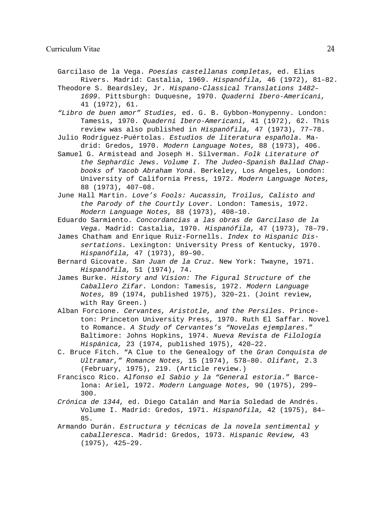Garcilaso de la Vega. *Poesías castellanas completas,* ed. Elias Rivers. Madrid: Castalia, 1969. *Hispanófila,* 46 (1972), 81–82.

Theodore S. Beardsley, Jr. *Hispano-Classical Translations 1482– 1699.* Pittsburgh: Duquesne, 1970. *Quaderni Ibero-Americani,* 41 (1972), 61.

*"Libro de buen amor" Studies,* ed. G. B. Gybbon-Monypenny. London: Tamesis, 1970. *Quaderni Ibero-Americani,* 41 (1972), 62. This review was also published in *Hispanófila,* 47 (1973), 77–78.

- Julio Rodríguez-Puértolas. *Estudios de literatura española.* Madrid: Gredos, 1970. *Modern Language Notes,* 88 (1973), 406.
- Samuel G. Armistead and Joseph H. Silverman. *Folk Literature of the Sephardic Jews. Volume I. The Judeo-Spanish Ballad Chapbooks of Yacob Abraham Yoná.* Berkeley, Los Angeles, London: University of California Press, 1972. *Modern Language Notes,* 88 (1973), 407–08.

June Hall Martin. *Love's Fools: Aucassin, Troilus, Calisto and the Parody of the Courtly Lover.* London: Tamesis, 1972. *Modern Language Notes,* 88 (1973), 408–10.

Eduardo Sarmiento. *Concordancias a las obras de Garcilaso de la Vega.* Madrid: Castalia, 1970. *Hispanófila,* 47 (1973), 78–79.

- James Chatham and Enrique Ruiz-Fornells. *Index to Hispanic Dissertations.* Lexington: University Press of Kentucky, 1970. *Hispanófila,* 47 (1973), 89–90.
- Bernard Gicovate. *San Juan de la Cruz.* New York: Twayne, 1971. *Hispanófila,* 51 (1974), 74.
- James Burke. *History and Vision: The Figural Structure of the Caballero Zifar.* London: Tamesis, 1972. *Modern Language Notes,* 89 (1974, published 1975), 320–21. (Joint review, with Ray Green.)
- Alban Forcione. *Cervantes, Aristotle, and the Persiles.* Princeton: Princeton University Press, 1970. Ruth El Saffar. Novel to Romance. *A Study of Cervantes's "Novelas ejemplares.*" Baltimore: Johns Hopkins, 1974. *Nueva Revista de Filología Hispánica,* 23 (1974, published 1975), 420–22.
- C. Bruce Fitch. "A Clue to the Genealogy of the *Gran Conquista de Ultramar," Romance Notes,* 15 (1974), 578–80. *Olifant,* 2.3 (February, 1975), 219. (Article review.)
- Francisco Rico. *Alfonso el Sabio y la "General estoria.*" Barcelona: Ariel, 1972. *Modern Language Notes,* 90 (1975), 299– 300.
- *Crónica de 1344,* ed. Diego Catalán and María Soledad de Andrés. Volume I. Madrid: Gredos, 1971. *Hispanófila,* 42 (1975), 84– 85.
- Armando Durán. *Estructura y técnicas de la novela sentimental y caballeresca.* Madrid: Gredos, 1973. *Hispanic Review,* 43 (1975), 425–29.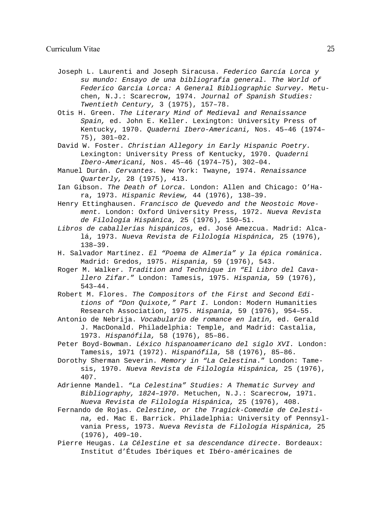- Joseph L. Laurenti and Joseph Siracusa. *Federico García Lorca y su mundo: Ensayo de una bibliografía general. The World of Federico García Lorca: A General Bibliographic Survey.* Metuchen, N.J.: Scarecrow, 1974. *Journal of Spanish Studies: Twentieth Century,* 3 (1975), 157–78.
- Otis H. Green. *The Literary Mind of Medieval and Renaissance Spain,* ed. John E. Keller. Lexington: University Press of Kentucky, 1970. *Quaderni Ibero-Americani,* Nos. 45–46 (1974– 75), 301–02.
- David W. Foster. *Christian Allegory in Early Hispanic Poetry.* Lexington: University Press of Kentucky, 1970. *Quaderni Ibero-Americani,* Nos. 45–46 (1974–75), 302–04.
- Manuel Durán. *Cervantes.* New York: Twayne, 1974. *Renaissance Quarterly,* 28 (1975), 413.
- Ian Gibson. *The Death of Lorca.* London: Allen and Chicago: O'Hara, 1973. *Hispanic Review,* 44 (1976), 138–39.
- Henry Ettinghausen. *Francisco de Quevedo and the Neostoic Movement.* London: Oxford University Press, 1972. *Nueva Revista de Filología Hispánica,* 25 (1976), 150–51.
- *Libros de caballerías hispánicos,* ed. José Amezcua. Madrid: Alcalá, 1973. *Nueva Revista de Filología Hispánica,* 25 (1976), 138–39.
- H. Salvador Martínez. *El "Poema de Almería" y la épica románica.* Madrid: Gredos, 1975. *Hispania,* 59 (1976), 543.
- Roger M. Walker. *Tradition and Technique in "El Libro del Cavallero Zifar.*" London: Tamesis, 1975. *Hispania,* 59 (1976), 543–44.
- Robert M. Flores. *The Compositors of the First and Second Editions of "Don Quixote," Part I.* London: Modern Humanities Research Association, 1975. *Hispania,* 59 (1976), 954–55.
- Antonio de Nebrija. *Vocabulario de romance en latín,* ed. Gerald J. MacDonald. Philadelphia: Temple, and Madrid: Castalia, 1973. *Hispanófila,* 58 (1976), 85–86.
- Peter Boyd-Bowman. *Léxico hispanoamericano del siglo XVI.* London: Tamesis, 1971 (1972). *Hispanófila,* 58 (1976), 85–86.
- Dorothy Sherman Severin. *Memory in "La Celestina*." London: Tamesis, 1970. *Nueva Revista de Filología Hispánica,* 25 (1976), 407.
- Adrienne Mandel. *"La Celestina" Studies: A Thematic Survey and Bibliography, 1824–1970.* Metuchen, N.J.: Scarecrow, 1971. *Nueva Revista de Filología Hispánica,* 25 (1976), 408.
- Fernando de Rojas. *Celestine, or the Tragick-Comedie de Celestina,* ed. Mac E. Barrick. Philadelphia: University of Pennsylvania Press, 1973. *Nueva Revista de Filología Hispánica,* 25 (1976), 409–10.
- Pierre Heugas. *La Célestine et sa descendance directe.* Bordeaux: Institut d'Études Ibériques et Ibéro-américaines de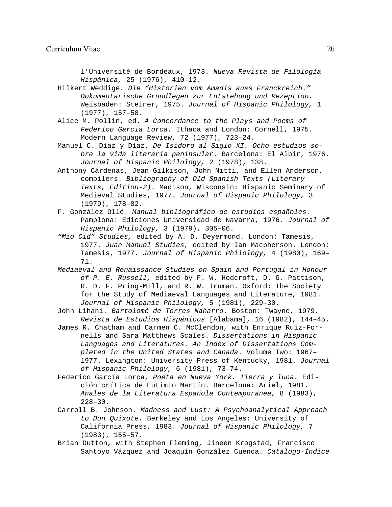l'Université de Bordeaux, 1973. *Nueva Revista de Filología Hispánica,* 25 (1976), 410–12.

Hilkert Weddige. *Die "Historien vom Amadis auss Franckreich." Dokumentarische Grundlegen zur Entstehung und Rezeption.* Weisbaden: Steiner, 1975. *Journal of Hispanic Philology,* 1 (1977), 157–58.

- Alice M. Pollin, ed. *A Concordance to the Plays and Poems of Federico García Lorca.* Ithaca and London: Cornell, 1975. Modern Language Review, 72 (1977), 723–24.
- Manuel C. Díaz y Díaz. *De Isidoro al Siglo XI. Ocho estudios sobre la vida literaria peninsular.* Barcelona: El Albir, 1976. *Journal of Hispanic Philology,* 2 (1978), 138.
- Anthony Cárdenas, Jean Gilkison, John Nitti, and Ellen Anderson, compilers. *Bibliography of Old Spanish Texts (Literary Texts, Edition-2).* Madison, Wisconsin: Hispanic Seminary of Medieval Studies, 1977. *Journal of Hispanic Philology,* 3 (1979), 178–82.
- F. González Ollé. *Manual bibliográfico de estudios españoles.* Pamplona: Ediciones Universidad de Navarra, 1976. *Journal of Hispanic Philology,* 3 (1979), 305–06.
- *"Mio Cid" Studies,* edited by A. D. Deyermond. London: Tamesis, 1977. *Juan Manuel Studies,* edited by Ian Macpherson. London: Tamesis, 1977. *Journal of Hispanic Philology,* 4 (1980), 169– 71.
- *Mediaeval and Renaissance Studies on Spain and Portugal in Honour of P. E. Russell,* edited by F. W. Hodcroft, D. G. Pattison, R. D. F. Pring-Mill, and R. W. Truman. Oxford: The Society for the Study of Mediaeval Languages and Literature, 1981. *Journal of Hispanic Philology,* 5 (1981), 229–30.

John Lihani. *Bartolomé de Torres Naharro.* Boston: Twayne, 1979. *Revista de Estudios Hispánicos* [Alabama], 16 (1982), 144–45.

- James R. Chatham and Carmen C. McClendon, with Enrique Ruiz-Fornells and Sara Matthews Scales. *Dissertations in Hispanic Languages and Literatures. An Index of Dissertations Completed in the United States and Canada.* Volume Two: 1967– 1977. Lexington: University Press of Kentucky, 1981. *Journal of Hispanic Philology,* 6 (1981), 73–74.
- Federico García Lorca, *Poeta en Nueva York. Tierra y luna.* Edición crítica de Eutimio Martín. Barcelona: Ariel, 1981. *Anales de la Literatura Española Contemporánea,* 8 (1983), 228–30.
- Carroll B. Johnson. *Madness and Lust: A Psychoanalytical Approach to Don Quixote.* Berkeley and Los Angeles: University of California Press, 1983. *Journal of Hispanic Philology,* 7 (1983), 155–57.
- Brian Dutton, with Stephen Fleming, Jineen Krogstad, Francisco Santoyo Vázquez and Joaquín González Cuenca. *Catálogo-Índice*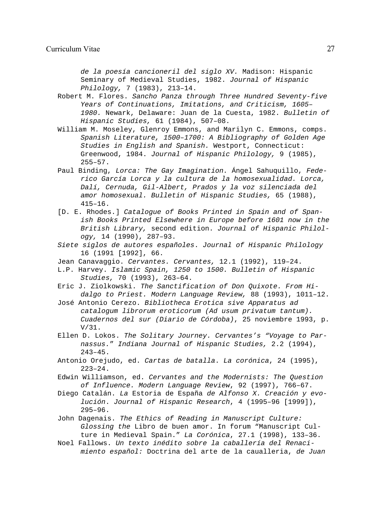*de la poesía cancioneril del siglo XV.* Madison: Hispanic Seminary of Medieval Studies, 1982. *Journal of Hispanic Philology,* 7 (1983), 213–14.

Robert M. Flores. *Sancho Panza through Three Hundred Seventy-five Years of Continuations, Imitations, and Criticism, 1605– 1980.* Newark, Delaware: Juan de la Cuesta, 1982. *Bulletin of Hispanic Studies,* 61 (1984), 507–08.

- William M. Moseley, Glenroy Emmons, and Marilyn C. Emmons, comps. *Spanish Literature, 1500–1700: A Bibliography of Golden Age Studies in English and Spanish.* Westport, Connecticut: Greenwood, 1984. *Journal of Hispanic Philology,* 9 (1985), 255–57.
- Paul Binding, *Lorca: The Gay Imagination.* Ángel Sahuquillo, *Federico García Lorca y la cultura de la homosexualidad. Lorca, Dalí, Cernuda, Gil-Albert, Prados y la voz silenciada del amor homosexual. Bulletin of Hispanic Studies,* 65 (1988), 415–16.
- [D. E. Rhodes.] *Catalogue of Books Printed in Spain and of Spanish Books Printed Elsewhere in Europe before 1601 now in the British Library,* second edition. *Journal of Hispanic Philology,* 14 (1990), 287–93.
- *Siete siglos de autores españoles*. *Journal of Hispanic Philology* 16 (1991 [1992], 66.
- Jean Canavaggio. *Cervantes. Cervantes,* 12.1 (1992), 119–24.
- L.P. Harvey. *Islamic Spain, 1250 to 1500. Bulletin of Hispanic Studies,* 70 (1993), 263–64.
- Eric J. Ziolkowski. *The Sanctification of Don Quixote. From Hidalgo to Priest. Modern Language Review,* 88 (1993), 1011–12.
- José Antonio Cerezo. *Bibliotheca Erotica sive Apparatus ad catalogum librorum eroticorum (Ad usum privatum tantum). Cuadernos del sur (Diario de Córdoba)*, 25 noviembre 1993, p. V/31.
- Ellen D. Lokos. *The Solitary Journey. Cervantes's "Voyage to Parnassus.*" *Indiana Journal of Hispanic Studies,* 2.2 (1994), 243–45.
- Antonio Orejudo, ed. *Cartas de batalla*. *La corónica*, 24 (1995),  $223 - 24$ .
- Edwin Williamson, ed. *Cervantes and the Modernists: The Question of Influence. Modern Language Review*, 92 (1997), 766–67.
- Diego Catalán. *La* Estoria de España *de Alfonso X. Creación y evolución*. *Journal of Hispanic Research*, 4 (1995–96 [1999]), 295–96.
- John Dagenais. *The Ethics of Reading in Manuscript Culture: Glossing the* Libro de buen amor. In forum "Manuscript Culture in Medieval Spain." *La Corónica*, 27.1 (1998), 133–36.
- Noel Fallows. *Un texto inédito sobre la caballería del Renacimiento español:* Doctrina del arte de la caualleria, *de Juan*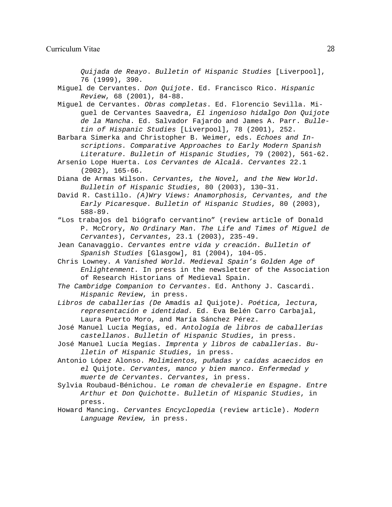*Quijada de Reayo*. *Bulletin of Hispanic Studies* [Liverpool], 76 (1999), 390.

Miguel de Cervantes. *Don Quijote*. Ed. Francisco Rico. *Hispanic Review*, 68 (2001), 84-88.

Miguel de Cervantes. *Obras completas*. Ed. Florencio Sevilla. Miguel de Cervantes Saavedra, *El ingenioso hidalgo Don Quijote de la Mancha*. Ed. Salvador Fajardo and James A. Parr. *Bulletin of Hispanic Studies* [Liverpool], 78 (2001), 252.

Barbara Simerka and Christopher B. Weimer, eds. *Echoes and Inscriptions. Comparative Approaches to Early Modern Spanish Literature. Bulletin of Hispanic Studies*, 79 (2002), 561-62.

Arsenio Lope Huerta. *Los Cervantes de Alcalá. Cervantes* 22.1 (2002), 165-66.

Diana de Armas Wilson. *Cervantes, the Novel, and the New World. Bulletin of Hispanic Studies*, 80 (2003), 130–31.

David R. Castillo. *(A)Wry Views: Anamorphosis, Cervantes, and the Early Picaresque. Bulletin of Hispanic Studies*, 80 (2003), 588-89.

"Los trabajos del biógrafo cervantino" (review article of Donald P. McCrory, *No Ordinary Man. The Life and Times of Miguel de Cervantes*), *Cervantes*, 23.1 (2003), 235-49.

Jean Canavaggio. *Cervantes entre vida y creación*. *Bulletin of Spanish Studies* [Glasgow], 81 (2004), 104-05.

Chris Lowney. *A Vanished World. Medieval Spain's Golden Age of Enlightenment.* In press in the newsletter of the Association of Research Historians of Medieval Spain.

*The Cambridge Companion to Cervantes*. Ed. Anthony J. Cascardi. *Hispanic Review*, in press.

*Libros de caballerías (De* Amadís *al* Quijote*). Poética, lectura, representación e identidad.* Ed. Eva Belén Carro Carbajal, Laura Puerto Moro, and María Sánchez Pérez.

José Manuel Lucía Megías, ed. *Antología de libros de caballerías castellanos*. *Bulletin of Hispanic Studies*, in press.

José Manuel Lucía Megías. *Imprenta y libros de caballerías. Bulletin of Hispanic Studies*, in press.

Antonio López Alonso. *Molimientos, puñadas y caídas acaecidos en el* Quijote*. Cervantes, manco y bien manco. Enfermedad y muerte de Cervantes. Cervantes*, in press.

Sylvia Roubaud-Bénichou. *Le roman de chevalerie en Espagne. Entre Arthur et Don Quichotte*. *Bulletin of Hispanic Studies*, in press.

Howard Mancing. *Cervantes Encyclopedia* (review article). *Modern Language Review,* in press.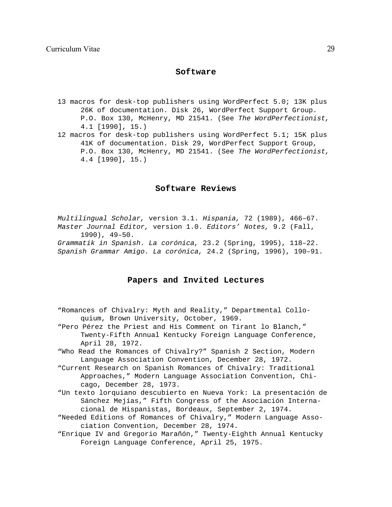# **Software**

- 13 macros for desk-top publishers using WordPerfect 5.0; 13K plus 26K of documentation. Disk 26, WordPerfect Support Group. P.O. Box 130, McHenry, MD 21541. (See *The WordPerfectionist,* 4.1 [1990], 15.)
- 12 macros for desk-top publishers using WordPerfect 5.1; 15K plus 41K of documentation. Disk 29, WordPerfect Support Group, P.O. Box 130, McHenry, MD 21541. (See *The WordPerfectionist,* 4.4 [1990], 15.)

#### **Software Reviews**

*Multilingual Scholar,* version 3.1. *Hispania,* 72 (1989), 466–67. *Master Journal Editor,* version 1.0. *Editors' Notes,* 9.2 (Fall, 1990), 49–50.

*Grammatik in Spanish. La corónica,* 23.2 (Spring, 1995), 118–22. *Spanish Grammar Amigo. La corónica,* 24.2 (Spring, 1996), 190–91.

#### **Papers and Invited Lectures**

- "Romances of Chivalry: Myth and Reality," Departmental Colloquium, Brown University, October, 1969.
- "Pero Pérez the Priest and His Comment on Tirant lo Blanch," Twenty-Fifth Annual Kentucky Foreign Language Conference, April 28, 1972.
- "Who Read the Romances of Chivalry?" Spanish 2 Section, Modern Language Association Convention, December 28, 1972.
- "Current Research on Spanish Romances of Chivalry: Traditional Approaches," Modern Language Association Convention, Chicago, December 28, 1973.
- "Un texto lorquiano descubierto en Nueva York: La presentación de Sánchez Mejías," Fifth Congress of the Asociación Internacional de Hispanistas, Bordeaux, September 2, 1974.
- "Needed Editions of Romances of Chivalry," Modern Language Association Convention, December 28, 1974.
- "Enrique IV and Gregorio Marañón," Twenty-Eighth Annual Kentucky Foreign Language Conference, April 25, 1975.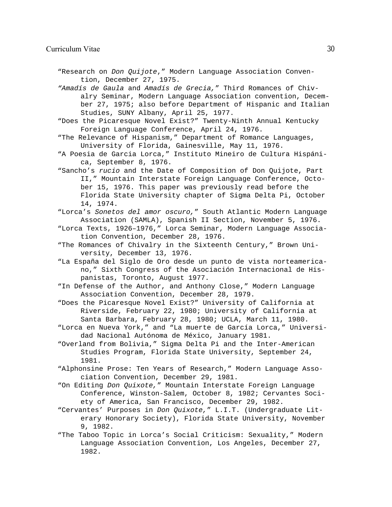"Research on *Don Quijote*," Modern Language Association Convention, December 27, 1975.

*"Amadís de Gaula* and *Amadís de Grecia,*" Third Romances of Chivalry Seminar, Modern Language Association convention, December 27, 1975; also before Department of Hispanic and Italian Studies, SUNY Albany, April 25, 1977.

"Does the Picaresque Novel Exist?" Twenty-Ninth Annual Kentucky Foreign Language Conference, April 24, 1976.

"The Relevance of Hispanism," Department of Romance Languages, University of Florida, Gainesville, May 11, 1976.

- "A Poesia de Garcia Lorca," Instituto Mineiro de Cultura Hispánica, September 8, 1976.
- "Sancho's *rucio* and the Date of Composition of Don Quijote, Part II," Mountain Interstate Foreign Language Conference, October 15, 1976. This paper was previously read before the Florida State University chapter of Sigma Delta Pi, October 14, 1974.

"Lorca's *Sonetos del amor oscuro,*" South Atlantic Modern Language Association (SAMLA), Spanish II Section, November 5, 1976.

"Lorca Texts, 1926–1976," Lorca Seminar, Modern Language Association Convention, December 28, 1976.

"The Romances of Chivalry in the Sixteenth Century," Brown University, December 13, 1976.

"La España del Siglo de Oro desde un punto de vista norteamericano," Sixth Congress of the Asociación Internacional de Hispanistas, Toronto, August 1977.

"In Defense of the Author, and Anthony Close," Modern Language Association Convention, December 28, 1979.

"Does the Picaresque Novel Exist?" University of California at Riverside, February 22, 1980; University of California at Santa Barbara, February 28, 1980; UCLA, March 11, 1980.

"Lorca en Nueva York," and "La muerte de García Lorca," Universidad Nacional Autónoma de México, January 1981.

"Overland from Bolivia," Sigma Delta Pi and the Inter-American Studies Program, Florida State University, September 24, 1981.

"Alphonsine Prose: Ten Years of Research," Modern Language Association Convention, December 29, 1981.

"On Editing *Don Quixote,*" Mountain Interstate Foreign Language Conference, Winston-Salem, October 8, 1982; Cervantes Society of America, San Francisco, December 29, 1982.

"Cervantes' Purposes in *Don Quixote,*" L.I.T. (Undergraduate Literary Honorary Society), Florida State University, November 9, 1982.

"The Taboo Topic in Lorca's Social Criticism: Sexuality," Modern Language Association Convention, Los Angeles, December 27, 1982.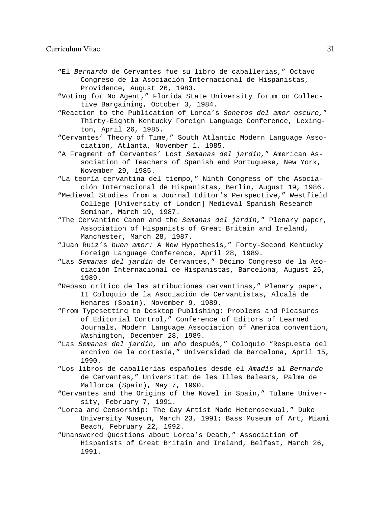#### Curriculum Vitae 31

- "El *Bernardo* de Cervantes fue su libro de caballerías," Octavo Congreso de la Asociación Internacional de Hispanistas, Providence, August 26, 1983.
- "Voting for No Agent," Florida State University forum on Collective Bargaining, October 3, 1984.
- "Reaction to the Publication of Lorca's *Sonetos del amor oscuro,*" Thirty-Eighth Kentucky Foreign Language Conference, Lexington, April 26, 1985.
- "Cervantes' Theory of Time," South Atlantic Modern Language Association, Atlanta, November 1, 1985.
- "A Fragment of Cervantes' Lost *Semanas del jardín,*" American Association of Teachers of Spanish and Portuguese, New York, November 29, 1985.
- "La teoría cervantina del tiempo," Ninth Congress of the Asociación Internacional de Hispanistas, Berlin, August 19, 1986.
- "Medieval Studies from a Journal Editor's Perspective," Westfield College [University of London] Medieval Spanish Research Seminar, March 19, 1987.
- "The Cervantine Canon and the *Semanas del jardín,*" Plenary paper, Association of Hispanists of Great Britain and Ireland, Manchester, March 28, 1987.
- "Juan Ruiz's *buen amor:* A New Hypothesis," Forty-Second Kentucky Foreign Language Conference, April 28, 1989.
- "Las *Semanas del jardín* de Cervantes," Décimo Congreso de la Asociación Internacional de Hispanistas, Barcelona, August 25, 1989.
- "Repaso crítico de las atribuciones cervantinas," Plenary paper, II Coloquio de la Asociación de Cervantistas, Alcalá de Henares (Spain), November 9, 1989.
- "From Typesetting to Desktop Publishing: Problems and Pleasures of Editorial Control," Conference of Editors of Learned Journals, Modern Language Association of America convention, Washington, December 28, 1989.
- "Las *Semanas del jardín,* un año después," Coloquio "Respuesta del archivo de la cortesía," Universidad de Barcelona, April 15, 1990.
- "Los libros de caballerías españoles desde el *Amadís* al *Bernardo* de Cervantes," Universitat de les Illes Balears, Palma de Mallorca (Spain), May 7, 1990.
- "Cervantes and the Origins of the Novel in Spain," Tulane University, February 7, 1991.
- "Lorca and Censorship: The Gay Artist Made Heterosexual," Duke University Museum, March 23, 1991; Bass Museum of Art, Miami Beach, February 22, 1992.
- "Unanswered Questions about Lorca's Death," Association of Hispanists of Great Britain and Ireland, Belfast, March 26, 1991.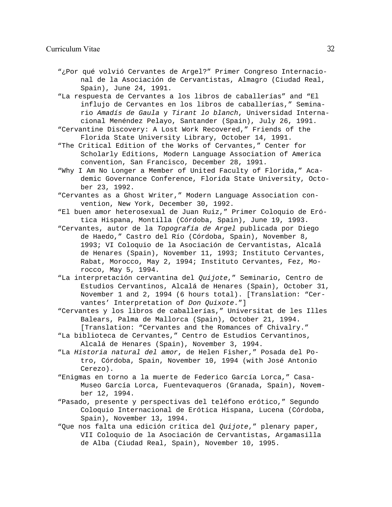#### Curriculum Vitae 32

- "¿Por qué volvió Cervantes de Argel?" Primer Congreso Internacional de la Asociación de Cervantistas, Almagro (Ciudad Real, Spain), June 24, 1991.
- "La respuesta de Cervantes a los libros de caballerías" and "El influjo de Cervantes en los libros de caballerías," Seminario *Amadís de Gaula* y *Tirant lo blanch*, Universidad Internacional Menéndez Pelayo, Santander (Spain), July 26, 1991.
- "Cervantine Discovery: A Lost Work Recovered," Friends of the Florida State University Library, October 14, 1991.
- "The Critical Edition of the Works of Cervantes," Center for Scholarly Editions, Modern Language Association of America convention, San Francisco, December 28, 1991.
- "Why I Am No Longer a Member of United Faculty of Florida," Academic Governance Conference, Florida State University, October 23, 1992.
- "Cervantes as a Ghost Writer," Modern Language Association convention, New York, December 30, 1992.
- "El buen amor heterosexual de Juan Ruiz," Primer Coloquio de Erótica Hispana, Montilla (Córdoba, Spain), June 19, 1993.
- "Cervantes, autor de la *Topografía de Argel* publicada por Diego de Haedo," Castro del Río (Córdoba, Spain), November 8, 1993; VI Coloquio de la Asociación de Cervantistas, Alcalá de Henares (Spain), November 11, 1993; Instituto Cervantes, Rabat, Morocco, May 2, 1994; Instituto Cervantes, Fez, Morocco, May 5, 1994.
- "La interpretación cervantina del *Quijote*," Seminario, Centro de Estudios Cervantinos, Alcalá de Henares (Spain), October 31, November 1 and 2, 1994 (6 hours total). [Translation: "Cervantes' Interpretation of *Don Quixote*."]
- "Cervantes y los libros de caballerías," Universitat de les Illes Balears, Palma de Mallorca (Spain), October 21, 1994. [Translation: "Cervantes and the Romances of Chivalry."
- "La biblioteca de Cervantes," Centro de Estudios Cervantinos, Alcalá de Henares (Spain), November 3, 1994.
- "La *Historia natural del amor*, de Helen Fisher," Posada del Potro, Córdoba, Spain, November 10, 1994 (with José Antonio Cerezo).
- "Enigmas en torno a la muerte de Federico García Lorca," Casa-Museo García Lorca, Fuentevaqueros (Granada, Spain), November 12, 1994.
- "Pasado, presente y perspectivas del teléfono erótico," Segundo Coloquio Internacional de Erótica Hispana, Lucena (Córdoba, Spain), November 13, 1994.
- "Que nos falta una edición crítica del *Quijote*," plenary paper, VII Coloquio de la Asociación de Cervantistas, Argamasilla de Alba (Ciudad Real, Spain), November 10, 1995.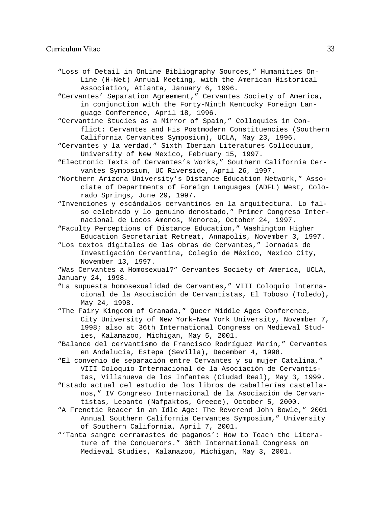"Loss of Detail in OnLine Bibliography Sources," Humanities On-Line (H-Net) Annual Meeting, with the American Historical Association, Atlanta, January 6, 1996.

"Cervantes' Separation Agreement," Cervantes Society of America, in conjunction with the Forty-Ninth Kentucky Foreign Language Conference, April 18, 1996.

"Cervantine Studies as a Mirror of Spain," Colloquies in Conflict: Cervantes and His Postmodern Constituencies (Southern California Cervantes Symposium), UCLA, May 23, 1996.

- "Cervantes y la verdad," Sixth Iberian Literatures Colloquium, University of New Mexico, February 15, 1997.
- "Electronic Texts of Cervantes's Works," Southern California Cervantes Symposium, UC Riverside, April 26, 1997.
- "Northern Arizona University's Distance Education Network," Associate of Departments of Foreign Languages (ADFL) West, Colorado Springs, June 29, 1997.

"Invenciones y escándalos cervantinos en la arquitectura. Lo falso celebrado y lo genuino denostado," Primer Congreso Internacional de Locos Amenos, Menorca, October 24, 1997.

"Faculty Perceptions of Distance Education," Washington Higher Education Secretariat Retreat, Annapolis, November 3, 1997.

"Los textos digitales de las obras de Cervantes," Jornadas de Investigación Cervantina, Colegio de México, Mexico City, November 13, 1997.

"Was Cervantes a Homosexual?" Cervantes Society of America, UCLA, January 24, 1998.

"La supuesta homosexualidad de Cervantes," VIII Coloquio Internacional de la Asociación de Cervantistas, El Toboso (Toledo), May 24, 1998.

"The Fairy Kingdom of Granada," Queer Middle Ages Conference, City University of New York–New York University, November 7, 1998; also at 36th International Congress on Medieval Studies, Kalamazoo, Michigan, May 5, 2001.

"Balance del cervantismo de Francisco Rodríguez Marín," Cervantes en Andalucía, Estepa (Sevilla), December 4, 1998.

"El convenio de separación entre Cervantes y su mujer Catalina," VIII Coloquio Internacional de la Asociación de Cervantistas, Villanueva de los Infantes (Ciudad Real), May 3, 1999.

- "Estado actual del estudio de los libros de caballerías castellanos," IV Congreso Internacional de la Asociación de Cervantistas, Lepanto (Nafpaktos, Greece), October 5, 2000.
- "A Frenetic Reader in an Idle Age: The Reverend John Bowle," 2001 Annual Southern California Cervantes Symposium," University of Southern California, April 7, 2001.
- "'Tanta sangre derramastes de paganos': How to Teach the Literature of the Conquerors." 36th International Congress on Medieval Studies, Kalamazoo, Michigan, May 3, 2001.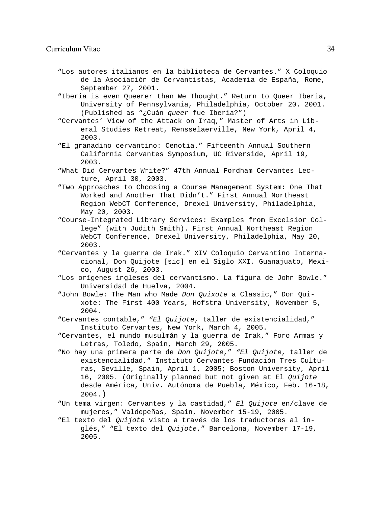#### Curriculum Vitae 34

- "Los autores italianos en la biblioteca de Cervantes." X Coloquio de la Asociación de Cervantistas, Academia de España, Rome, September 27, 2001.
- "Iberia is even Queerer than We Thought." Return to Queer Iberia, University of Pennsylvania, Philadelphia, October 20. 2001. (Published as "¿Cuán *queer* fue Iberia?")
- "Cervantes' View of the Attack on Iraq," Master of Arts in Liberal Studies Retreat, Rensselaerville, New York, April 4, 2003.
- "El granadino cervantino: Cenotia." Fifteenth Annual Southern California Cervantes Symposium, UC Riverside, April 19, 2003.
- "What Did Cervantes Write?" 47th Annual Fordham Cervantes Lecture, April 30, 2003.
- "Two Approaches to Choosing a Course Management System: One That Worked and Another That Didn't." First Annual Northeast Region WebCT Conference, Drexel University, Philadelphia, May 20, 2003.
- "Course-Integrated Library Services: Examples from Excelsior College" (with Judith Smith). First Annual Northeast Region WebCT Conference, Drexel University, Philadelphia, May 20, 2003.
- "Cervantes y la guerra de Irak." XIV Coloquio Cervantino Internacional, Don Quijote [sic] en el Siglo XXI. Guanajuato, Mexico, August 26, 2003.
- "Los orígenes ingleses del cervantismo. La figura de John Bowle." Universidad de Huelva, 2004.
- "John Bowle: The Man who Made *Don Quixote* a Classic," Don Quixote: The First 400 Years, Hofstra University, November 5, 2004.
- "Cervantes contable," *"El Quijote*, taller de existencialidad," Instituto Cervantes, New York, March 4, 2005.
- "Cervantes, el mundo musulmán y la guerra de Irak," Foro Armas y Letras, Toledo, Spain, March 29, 2005.
- "No hay una primera parte de *Don Quijote*," *"El Quijote*, taller de existencialidad," Instituto Cervantes–Fundación Tres Culturas, Seville, Spain, April 1, 2005; Boston University, April 16, 2005. (Originally planned but not given at El *Quijote* desde América, Univ. Autónoma de Puebla, México, Feb. 16-18, 2004.)
- "Un tema virgen: Cervantes y la castidad," *El Quijote* en/clave de mujeres," Valdepeñas, Spain, November 15-19, 2005.
- "El texto del *Quijote* visto a través de los traductores al inglés," "El texto del *Quijote*," Barcelona, November 17-19, 2005.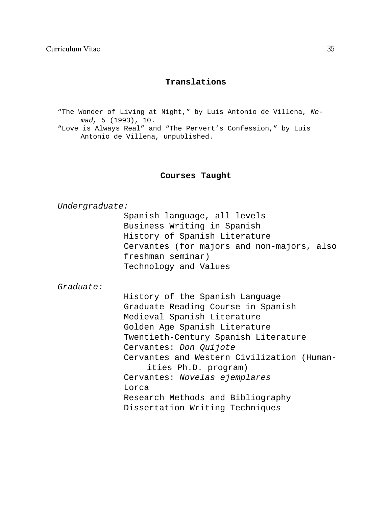# **Translations**

"The Wonder of Living at Night," by Luis Antonio de Villena, *Nomad,* 5 (1993), 10.

"Love is Always Real" and "The Pervert's Confession," by Luis Antonio de Villena, unpublished.

# **Courses Taught**

#### *Undergraduate:*

Spanish language, all levels Business Writing in Spanish History of Spanish Literature Cervantes (for majors and non-majors, also freshman seminar) Technology and Values

*Graduate:*

History of the Spanish Language Graduate Reading Course in Spanish Medieval Spanish Literature Golden Age Spanish Literature Twentieth-Century Spanish Literature Cervantes: *Don Quijote* Cervantes and Western Civilization (Humanities Ph.D. program) Cervantes: *Novelas ejemplares* Lorca Research Methods and Bibliography Dissertation Writing Techniques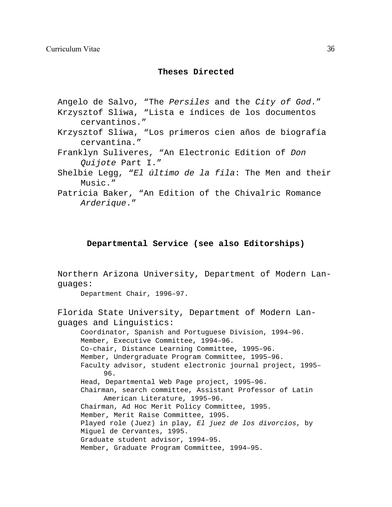# **Theses Directed**

Angelo de Salvo, "The *Persiles* and the *City of God*." Krzysztof Sliwa, "Lista e índices de los documentos cervantinos."

- Krzysztof Sliwa, "Los primeros cien años de biografía cervantina."
- Franklyn Suliveres, "An Electronic Edition of *Don Quijote* Part I."
- Shelbie Legg, "*El último de la fila*: The Men and their Music."
- Patricia Baker, "An Edition of the Chivalric Romance *Arderique*."

# **Departmental Service (see also Editorships)**

Northern Arizona University, Department of Modern Languages:

Department Chair, 1996–97.

Florida State University, Department of Modern Languages and Linguistics: Coordinator, Spanish and Portuguese Division, 1994–96. Member, Executive Committee, 1994–96. Co-chair, Distance Learning Committee, 1995–96. Member, Undergraduate Program Committee, 1995–96. Faculty advisor, student electronic journal project, 1995– 96. Head, Departmental Web Page project, 1995–96. Chairman, search committee, Assistant Professor of Latin

American Literature, 1995–96. Chairman, Ad Hoc Merit Policy Committee, 1995. Member, Merit Raise Committee, 1995. Played role (Juez) in play, *El juez de los divorcios*, by Miguel de Cervantes, 1995. Graduate student advisor, 1994–95.

Member, Graduate Program Committee, 1994–95.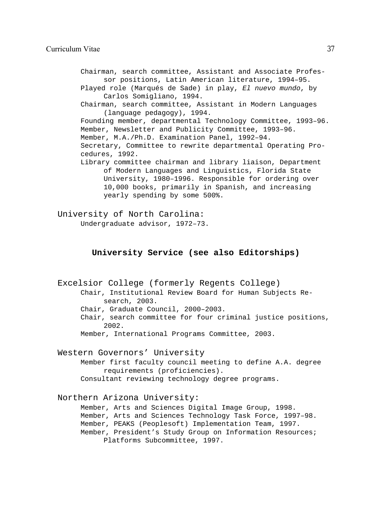Chairman, search committee, Assistant and Associate Professor positions, Latin American literature, 1994–95. Played role (Marqués de Sade) in play, *El nuevo mundo*, by Carlos Somigliano, 1994. Chairman, search committee, Assistant in Modern Languages (language pedagogy), 1994. Founding member, departmental Technology Committee, 1993–96. Member, Newsletter and Publicity Committee, 1993–96. Member, M.A./Ph.D. Examination Panel, 1992–94. Secretary, Committee to rewrite departmental Operating Procedures, 1992. Library committee chairman and library liaison, Department of Modern Languages and Linguistics, Florida State University, 1980–1996. Responsible for ordering over 10,000 books, primarily in Spanish, and increasing yearly spending by some 500%.

University of North Carolina: Undergraduate advisor, 1972–73.

# **University Service (see also Editorships)**

Excelsior College (formerly Regents College) Chair, Institutional Review Board for Human Subjects Research, 2003. Chair, Graduate Council, 2000–2003. Chair, search committee for four criminal justice positions, 2002. Member, International Programs Committee, 2003.

Western Governors' University

Member first faculty council meeting to define A.A. degree requirements (proficiencies).

Consultant reviewing technology degree programs.

Northern Arizona University: Member, Arts and Sciences Digital Image Group, 1998. Member, Arts and Sciences Technology Task Force, 1997–98. Member, PEAKS (Peoplesoft) Implementation Team, 1997. Member, President's Study Group on Information Resources; Platforms Subcommittee, 1997.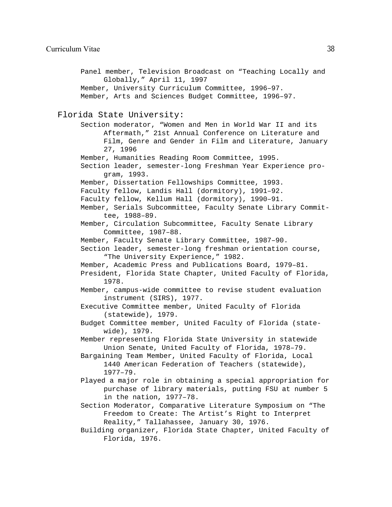Panel member, Television Broadcast on "Teaching Locally and Globally," April 11, 1997 Member, University Curriculum Committee, 1996–97. Member, Arts and Sciences Budget Committee, 1996–97. Florida State University: Section moderator, "Women and Men in World War II and its Aftermath," 21st Annual Conference on Literature and Film, Genre and Gender in Film and Literature, January 27, 1996 Member, Humanities Reading Room Committee, 1995. Section leader, semester-long Freshman Year Experience program, 1993. Member, Dissertation Fellowships Committee, 1993. Faculty fellow, Landis Hall (dormitory), 1991–92. Faculty fellow, Kellum Hall (dormitory), 1990–91. Member, Serials Subcommittee, Faculty Senate Library Committee, 1988–89. Member, Circulation Subcommittee, Faculty Senate Library Committee, 1987–88. Member, Faculty Senate Library Committee, 1987–90. Section leader, semester-long freshman orientation course, "The University Experience," 1982. Member, Academic Press and Publications Board, 1979–81. President, Florida State Chapter, United Faculty of Florida, 1978. Member, campus-wide committee to revise student evaluation instrument (SIRS), 1977. Executive Committee member, United Faculty of Florida (statewide), 1979. Budget Committee member, United Faculty of Florida (statewide), 1979. Member representing Florida State University in statewide Union Senate, United Faculty of Florida, 1978–79. Bargaining Team Member, United Faculty of Florida, Local 1440 American Federation of Teachers (statewide), 1977–79. Played a major role in obtaining a special appropriation for purchase of library materials, putting FSU at number 5 in the nation, 1977–78. Section Moderator, Comparative Literature Symposium on "The Freedom to Create: The Artist's Right to Interpret Reality," Tallahassee, January 30, 1976. Building organizer, Florida State Chapter, United Faculty of Florida, 1976.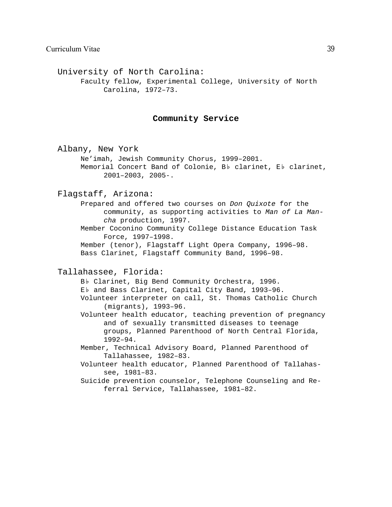University of North Carolina: Faculty fellow, Experimental College, University of North Carolina, 1972–73.

#### **Community Service**

Albany, New York Ne'imah, Jewish Community Chorus, 1999–2001. Memorial Concert Band of Colonie, Bb clarinet, Eb clarinet, 2001–2003, 2005-.

#### Flagstaff, Arizona:

Prepared and offered two courses on *Don Quixote* for the community, as supporting activities to *Man of La Mancha* production, 1997.

Member Coconino Community College Distance Education Task Force, 1997–1998.

Member (tenor), Flagstaff Light Opera Company, 1996–98. Bass Clarinet, Flagstaff Community Band, 1996–98.

#### Tallahassee, Florida:

Bb Clarinet, Big Bend Community Orchestra, 1996.

Eb and Bass Clarinet, Capital City Band, 1993-96.

Volunteer interpreter on call, St. Thomas Catholic Church (migrants), 1993–96.

- Volunteer health educator, teaching prevention of pregnancy and of sexually transmitted diseases to teenage groups, Planned Parenthood of North Central Florida, 1992–94.
- Member, Technical Advisory Board, Planned Parenthood of Tallahassee, 1982–83.
- Volunteer health educator, Planned Parenthood of Tallahassee, 1981–83.
- Suicide prevention counselor, Telephone Counseling and Referral Service, Tallahassee, 1981–82.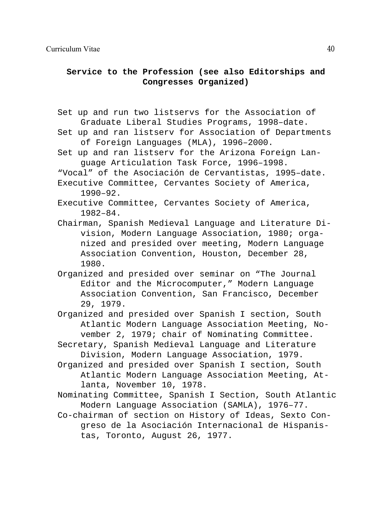# **Service to the Profession (see also Editorships and Congresses Organized)**

- Set up and run two listservs for the Association of Graduate Liberal Studies Programs, 1998–date.
- Set up and ran listserv for Association of Departments of Foreign Languages (MLA), 1996–2000.
- Set up and ran listserv for the Arizona Foreign Language Articulation Task Force, 1996–1998.
- "Vocal" of the Asociación de Cervantistas, 1995–date.
- Executive Committee, Cervantes Society of America, 1990–92.
- Executive Committee, Cervantes Society of America, 1982–84.
- Chairman, Spanish Medieval Language and Literature Division, Modern Language Association, 1980; organized and presided over meeting, Modern Language Association Convention, Houston, December 28, 1980.
- Organized and presided over seminar on "The Journal Editor and the Microcomputer," Modern Language Association Convention, San Francisco, December 29, 1979.
- Organized and presided over Spanish I section, South Atlantic Modern Language Association Meeting, November 2, 1979; chair of Nominating Committee.
- Secretary, Spanish Medieval Language and Literature Division, Modern Language Association, 1979.
- Organized and presided over Spanish I section, South Atlantic Modern Language Association Meeting, Atlanta, November 10, 1978.
- Nominating Committee, Spanish I Section, South Atlantic Modern Language Association (SAMLA), 1976–77.
- Co-chairman of section on History of Ideas, Sexto Congreso de la Asociación Internacional de Hispanistas, Toronto, August 26, 1977.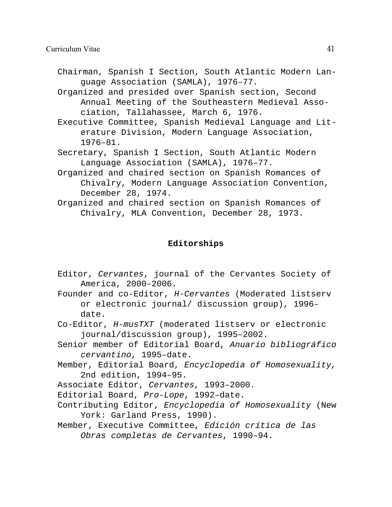Chairman, Spanish I Section, South Atlantic Modern Language Association (SAMLA), 1976–77.

Organized and presided over Spanish section, Second Annual Meeting of the Southeastern Medieval Association, Tallahassee, March 6, 1976.

Executive Committee, Spanish Medieval Language and Literature Division, Modern Language Association, 1976–81.

- Secretary, Spanish I Section, South Atlantic Modern Language Association (SAMLA), 1976–77.
- Organized and chaired section on Spanish Romances of Chivalry, Modern Language Association Convention, December 28, 1974.
- Organized and chaired section on Spanish Romances of Chivalry, MLA Convention, December 28, 1973.

# **Editorships**

- Editor, *Cervantes*, journal of the Cervantes Society of America, 2000–2006.
- Founder and co-Editor, *H-Cervantes* (Moderated listserv or electronic journal/ discussion group), 1996– date.
- Co-Editor, *H-musTXT* (moderated listserv or electronic journal/discussion group), 1995–2002.
- Senior member of Editorial Board, *Anuario bibliográfico cervantino*, 1995–date.
- Member, Editorial Board, *Encyclopedia of Homosexuality,* 2nd edition, 1994–95.

Associate Editor, *Cervantes,* 1993–2000.

Editorial Board, *Pro-Lope*, 1992–date.

- Contributing Editor, *Encyclopedia of Homosexuality* (New York: Garland Press, 1990).
- Member, Executive Committee, *Edición crítica de las Obras completas de Cervantes*, 1990–94.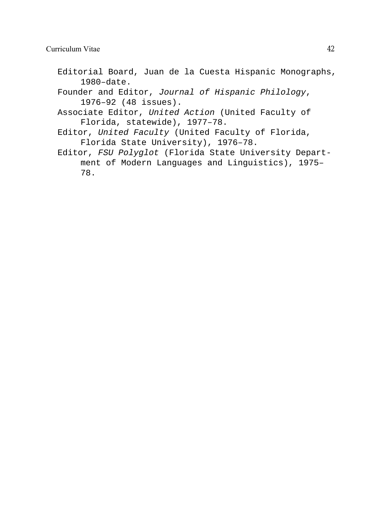- Editorial Board, Juan de la Cuesta Hispanic Monographs, 1980–date.
- Founder and Editor, *Journal of Hispanic Philology*, 1976–92 (48 issues).
- Associate Editor, *United Action* (United Faculty of Florida, statewide), 1977–78.
- Editor, *United Faculty* (United Faculty of Florida, Florida State University), 1976–78.
- Editor, *FSU Polyglot* (Florida State University Department of Modern Languages and Linguistics), 1975– 78.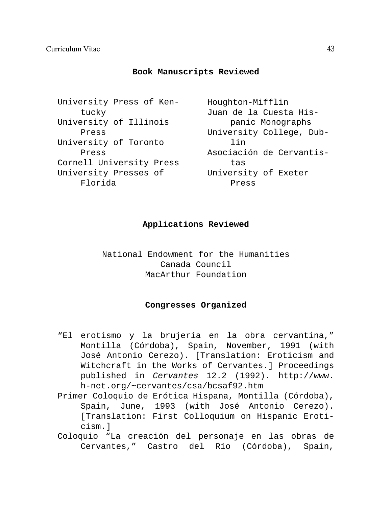# **Book Manuscripts Reviewed**

University Press of Kentucky University of Illinois Press University of Toronto Press Cornell University Press University Presses of Florida

Houghton-Mifflin Juan de la Cuesta Hispanic Monographs University College, Dublin Asociación de Cervantistas University of Exeter Press

# **Applications Reviewed**

National Endowment for the Humanities Canada Council MacArthur Foundation

# **Congresses Organized**

- "El erotismo y la brujería en la obra cervantina," Montilla (Córdoba), Spain, November, 1991 (with José Antonio Cerezo). [Translation: Eroticism and Witchcraft in the Works of Cervantes.] Proceedings published in *Cervantes* 12.2 (1992). http://www. h-net.org/~cervantes/csa/bcsaf92.htm
- Primer Coloquio de Erótica Hispana, Montilla (Córdoba), Spain, June, 1993 (with José Antonio Cerezo). [Translation: First Colloquium on Hispanic Eroticism.]
- Coloquio "La creación del personaje en las obras de Cervantes," Castro del Río (Córdoba), Spain,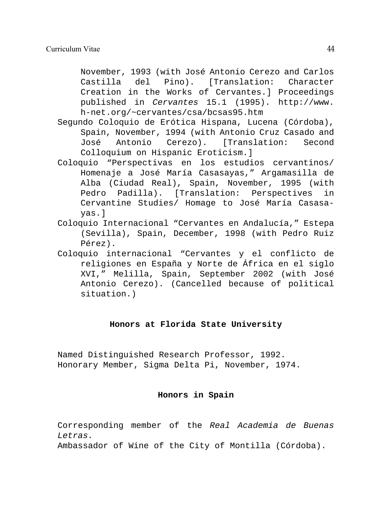November, 1993 (with José Antonio Cerezo and Carlos Castilla del Pino). [Translation: Character Creation in the Works of Cervantes.] Proceedings published in *Cervantes* 15.1 (1995). http://www. h-net.org/~cervantes/csa/bcsas95.htm

- Segundo Coloquio de Erótica Hispana, Lucena (Córdoba), Spain, November, 1994 (with Antonio Cruz Casado and José Antonio Cerezo). [Translation: Second Colloquium on Hispanic Eroticism.]
- Coloquio "Perspectivas en los estudios cervantinos/ Homenaje a José María Casasayas," Argamasilla de Alba (Ciudad Real), Spain, November, 1995 (with Pedro Padilla). [Translation: Perspectives in Cervantine Studies/ Homage to José María Casasayas.]
- Coloquio Internacional "Cervantes en Andalucía," Estepa (Sevilla), Spain, December, 1998 (with Pedro Ruiz Pérez).
- Coloquio internacional "Cervantes y el conflicto de religiones en España y Norte de África en el siglo XVI," Melilla, Spain, September 2002 (with José Antonio Cerezo). (Cancelled because of political situation.)

# **Honors at Florida State University**

Named Distinguished Research Professor, 1992. Honorary Member, Sigma Delta Pi, November, 1974.

# **Honors in Spain**

Corresponding member of the *Real Academia de Buenas Letras.*

Ambassador of Wine of the City of Montilla (Córdoba).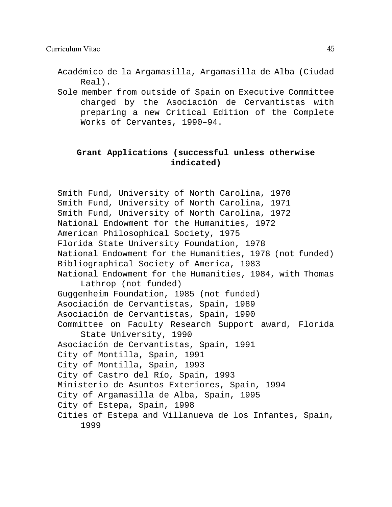Académico de la Argamasilla, Argamasilla de Alba (Ciudad Real).

Sole member from outside of Spain on Executive Committee charged by the Asociación de Cervantistas with preparing a new Critical Edition of the Complete Works of Cervantes, 1990–94.

# **Grant Applications (successful unless otherwise indicated)**

Smith Fund, University of North Carolina, 1970 Smith Fund, University of North Carolina, 1971 Smith Fund, University of North Carolina, 1972 National Endowment for the Humanities, 1972 American Philosophical Society, 1975 Florida State University Foundation, 1978 National Endowment for the Humanities, 1978 (not funded) Bibliographical Society of America, 1983 National Endowment for the Humanities, 1984, with Thomas Lathrop (not funded) Guggenheim Foundation, 1985 (not funded) Asociación de Cervantistas, Spain, 1989 Asociación de Cervantistas, Spain, 1990 Committee on Faculty Research Support award, Florida State University, 1990 Asociación de Cervantistas, Spain, 1991 City of Montilla, Spain, 1991 City of Montilla, Spain, 1993 City of Castro del Río, Spain, 1993 Ministerio de Asuntos Exteriores, Spain, 1994 City of Argamasilla de Alba, Spain, 1995 City of Estepa, Spain, 1998 Cities of Estepa and Villanueva de los Infantes, Spain, 1999